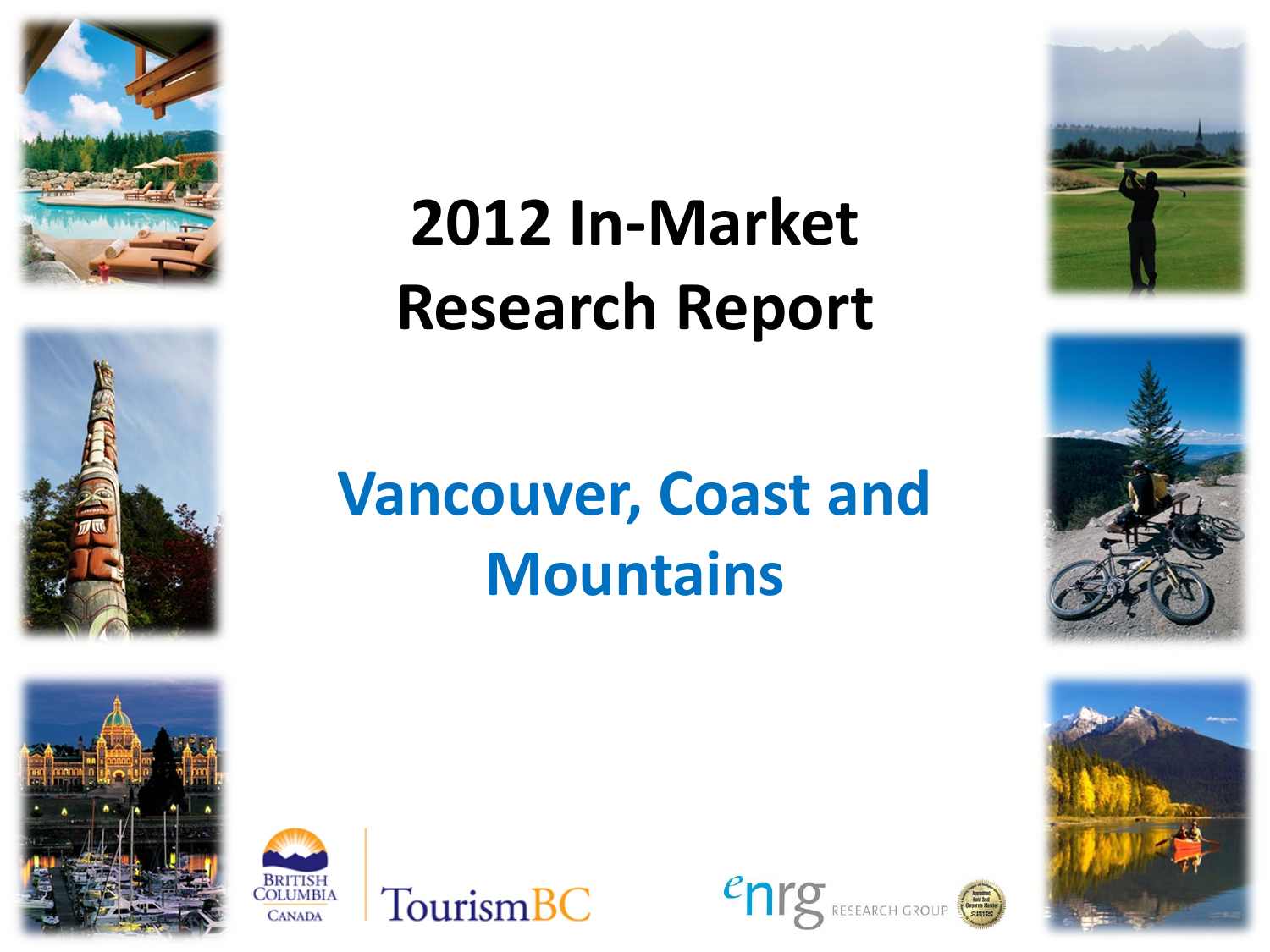







TourismBC

**2012 In-Market Research Report**

# **Vancouver, Coast and Mountains**

enre





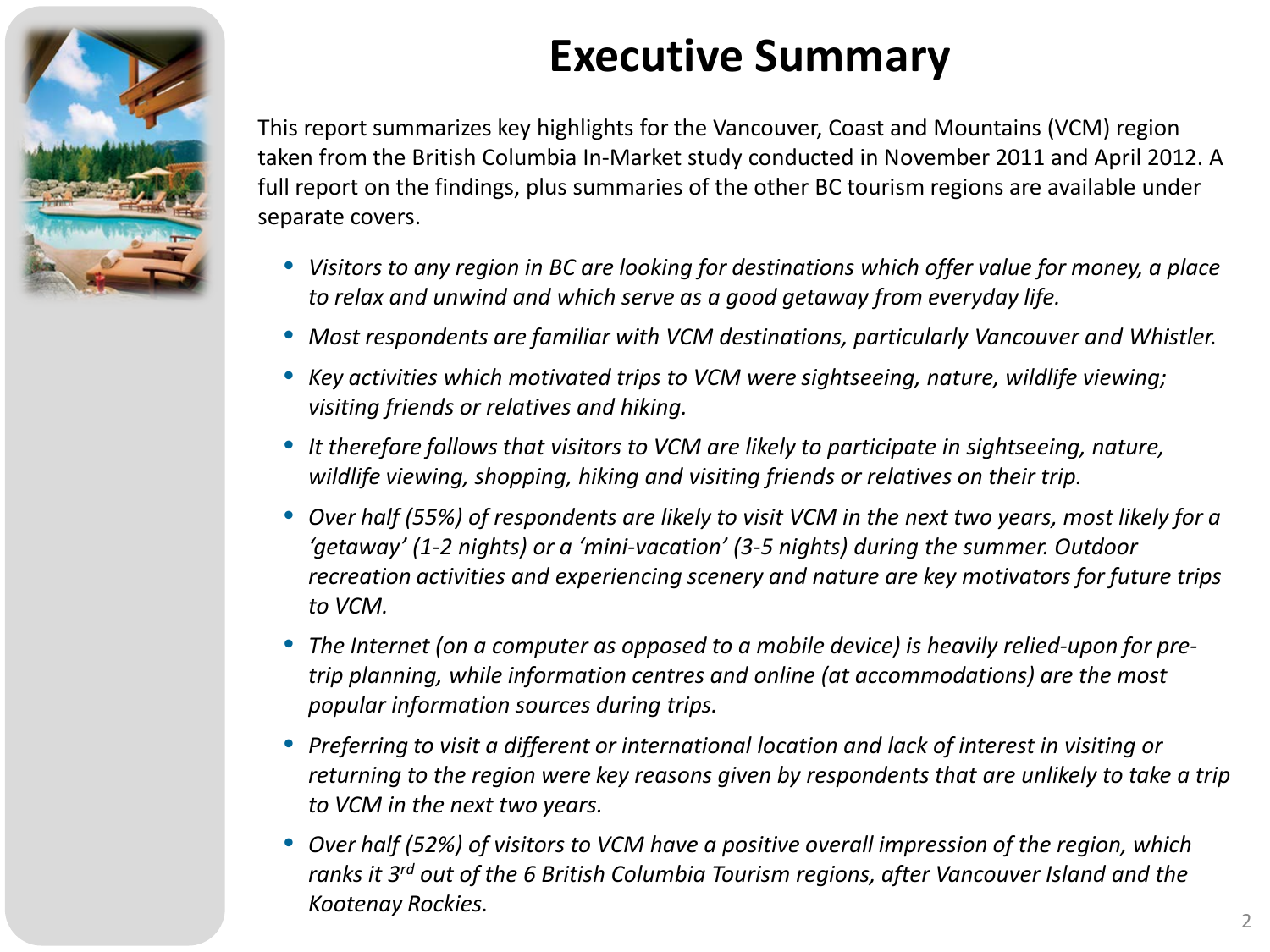

## **Executive Summary**

This report summarizes key highlights for the Vancouver, Coast and Mountains (VCM) region taken from the British Columbia In-Market study conducted in November 2011 and April 2012. A full report on the findings, plus summaries of the other BC tourism regions are available under separate covers.

- *Visitors to any region in BC are looking for destinations which offer value for money, a place to relax and unwind and which serve as a good getaway from everyday life.*
- *Most respondents are familiar with VCM destinations, particularly Vancouver and Whistler.*
- *Key activities which motivated trips to VCM were sightseeing, nature, wildlife viewing; visiting friends or relatives and hiking.*
- *It therefore follows that visitors to VCM are likely to participate in sightseeing, nature, wildlife viewing, shopping, hiking and visiting friends or relatives on their trip.*
- *Over half (55%) of respondents are likely to visit VCM in the next two years, most likely for a 'getaway' (1-2 nights) or a 'mini-vacation' (3-5 nights) during the summer. Outdoor recreation activities and experiencing scenery and nature are key motivators for future trips to VCM.*
- *The Internet (on a computer as opposed to a mobile device) is heavily relied-upon for pretrip planning, while information centres and online (at accommodations) are the most popular information sources during trips.*
- *Preferring to visit a different or international location and lack of interest in visiting or returning to the region were key reasons given by respondents that are unlikely to take a trip to VCM in the next two years.*
- *Over half (52%) of visitors to VCM have a positive overall impression of the region, which ranks it 3rd out of the 6 British Columbia Tourism regions, after Vancouver Island and the Kootenay Rockies.*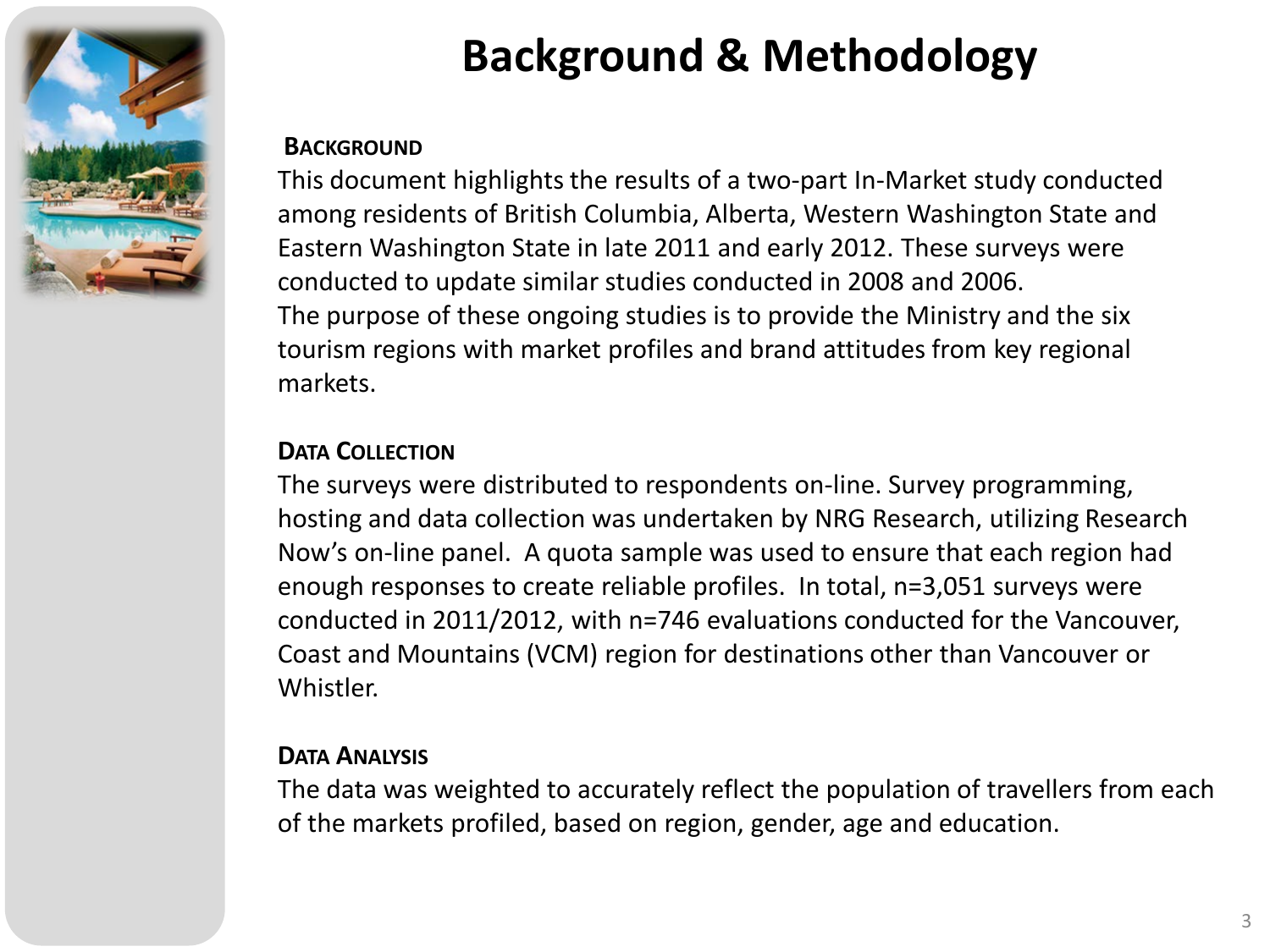

## **Background & Methodology**

#### **BACKGROUND**

This document highlights the results of a two-part In-Market study conducted among residents of British Columbia, Alberta, Western Washington State and Eastern Washington State in late 2011 and early 2012. These surveys were conducted to update similar studies conducted in 2008 and 2006. The purpose of these ongoing studies is to provide the Ministry and the six tourism regions with market profiles and brand attitudes from key regional markets.

#### **DATA COLLECTION**

The surveys were distributed to respondents on-line. Survey programming, hosting and data collection was undertaken by NRG Research, utilizing Research Now's on-line panel. A quota sample was used to ensure that each region had enough responses to create reliable profiles. In total, n=3,051 surveys were conducted in 2011/2012, with n=746 evaluations conducted for the Vancouver, Coast and Mountains (VCM) region for destinations other than Vancouver or Whistler.

#### **DATA ANALYSIS**

The data was weighted to accurately reflect the population of travellers from each of the markets profiled, based on region, gender, age and education.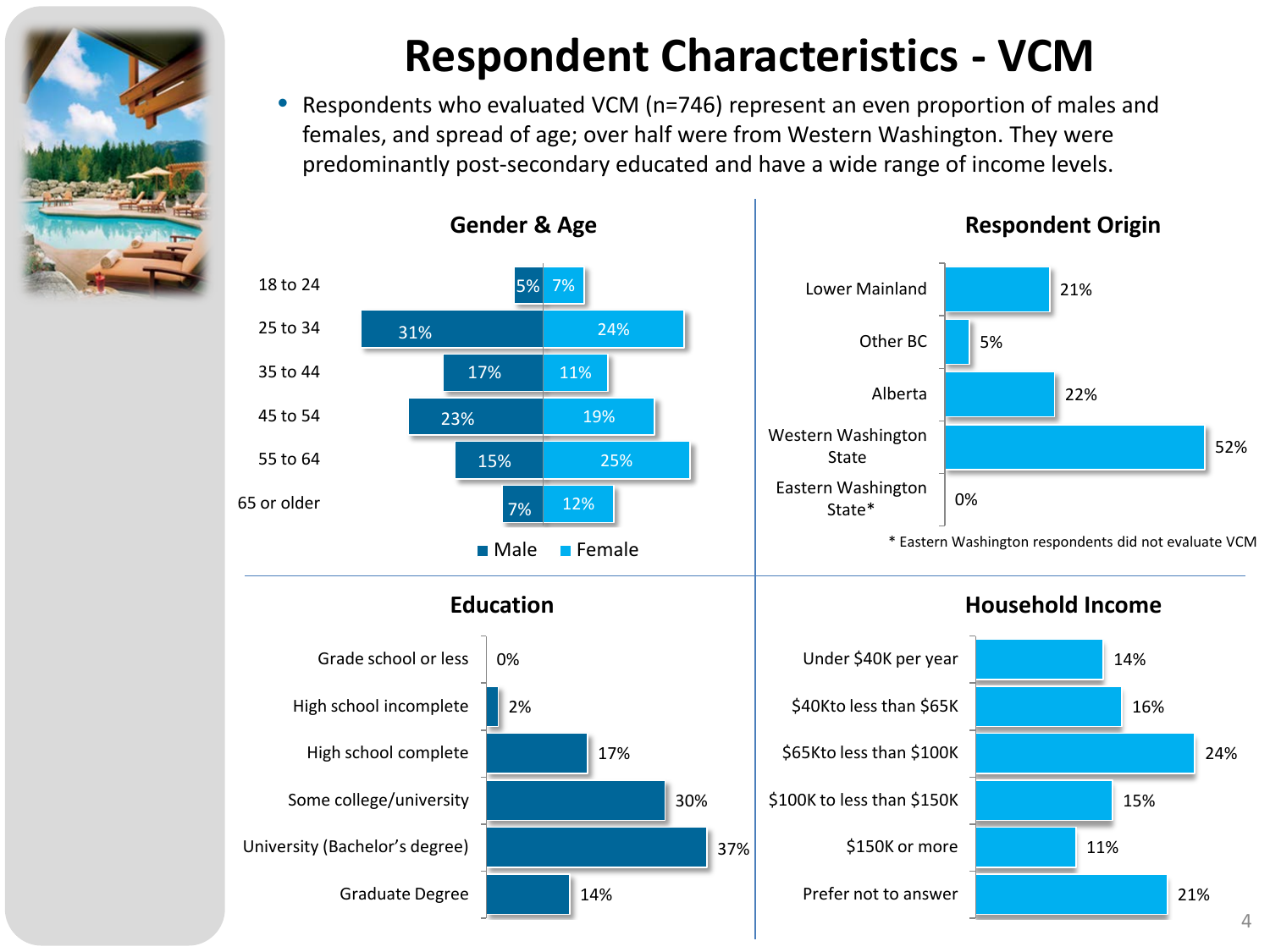

## **Respondent Characteristics - VCM**

• Respondents who evaluated VCM (n=746) represent an even proportion of males and females, and spread of age; over half were from Western Washington. They were predominantly post-secondary educated and have a wide range of income levels.

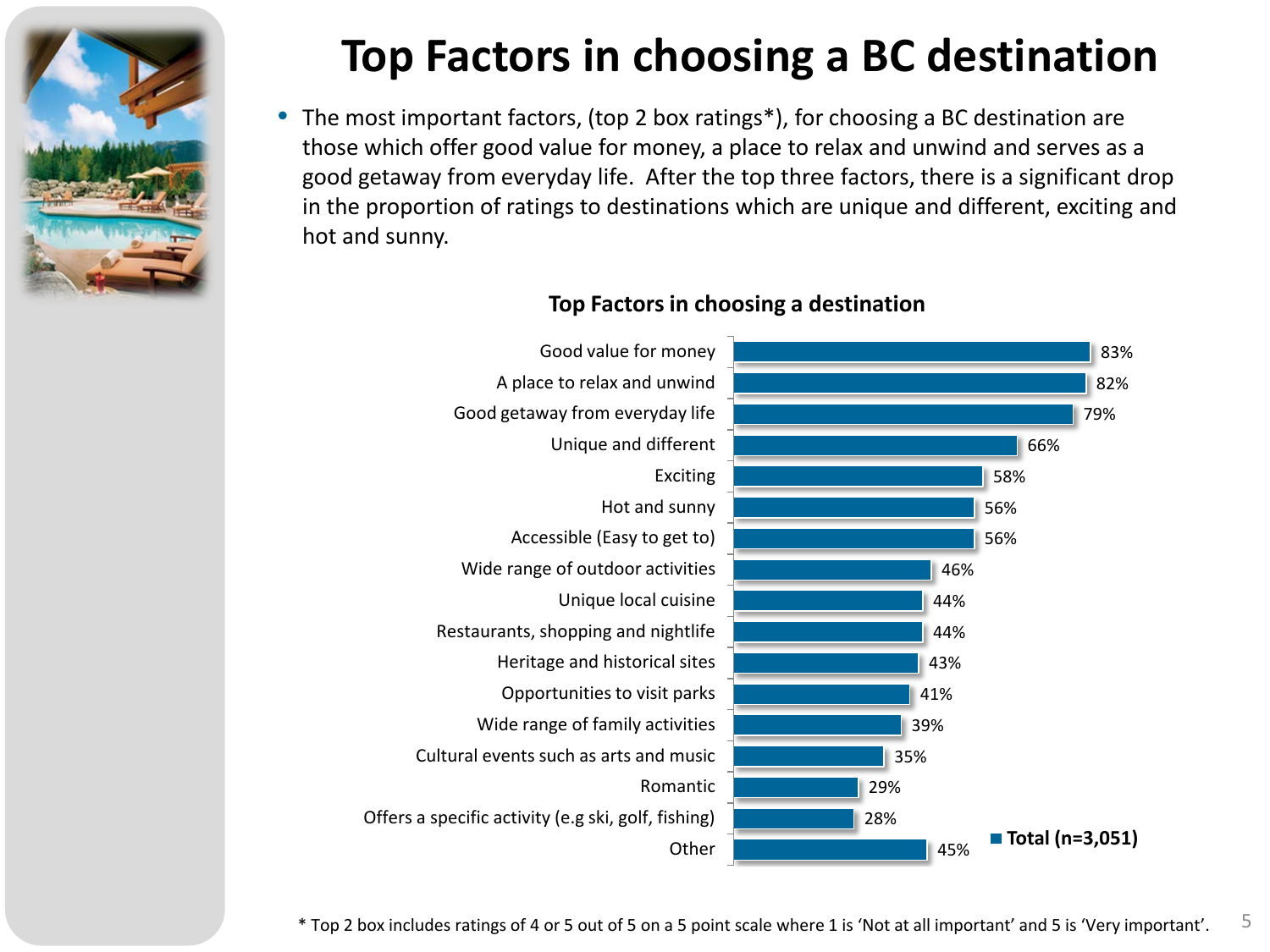

## **Top Factors in choosing a BC destination**

• The most important factors, (top 2 box ratings\*), for choosing a BC destination are those which offer good value for money, a place to relax and unwind and serves as a good getaway from everyday life. After the top three factors, there is a significant drop in the proportion of ratings to destinations which are unique and different, exciting and hot and sunny.



#### **Top Factors in choosing a destination**

\* Top 2 box includes ratings of 4 or 5 out of 5 on a 5 point scale where 1 is 'Not at all important' and 5 is 'Very important'.  $5$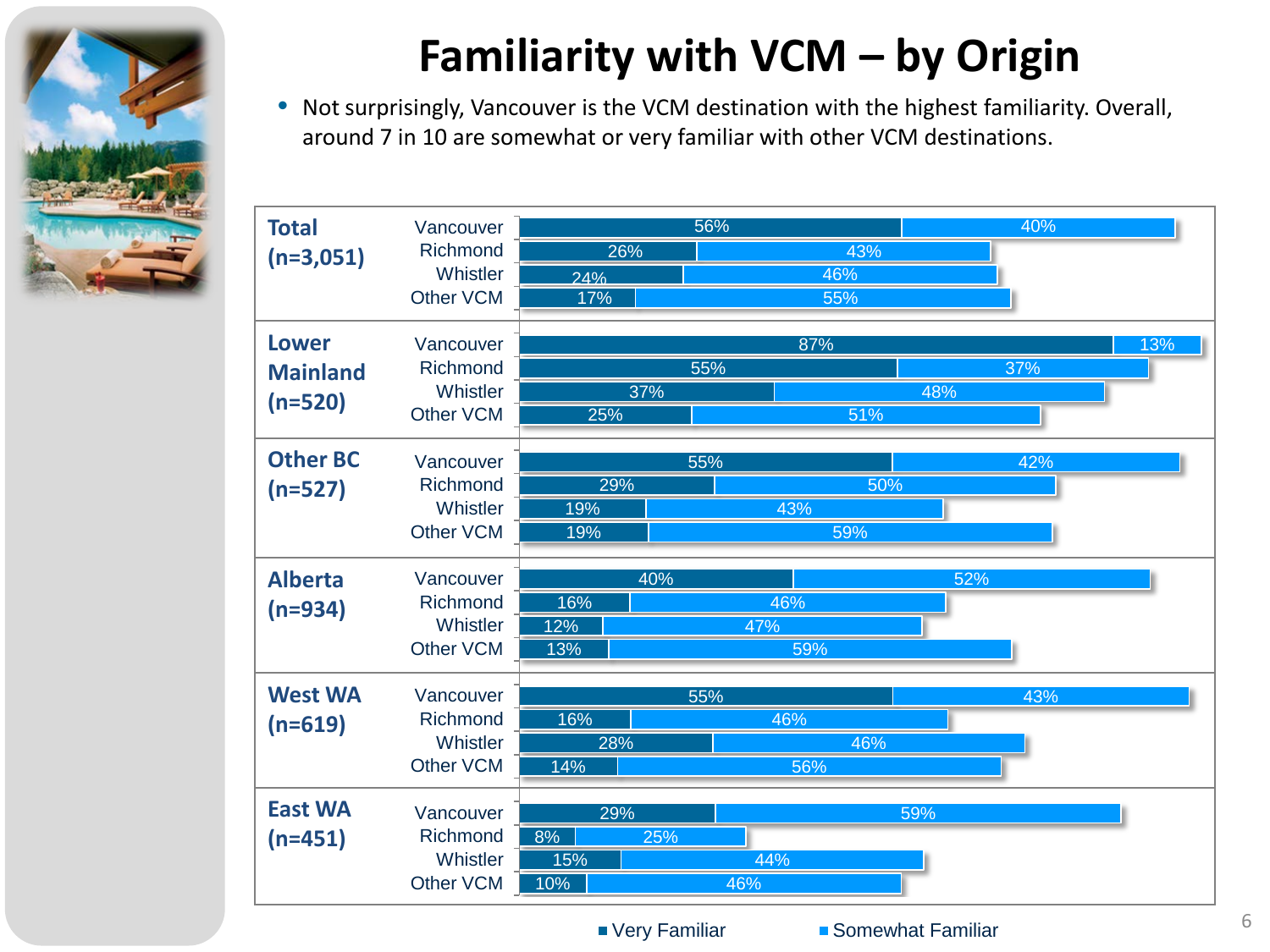

## **Familiarity with VCM – by Origin**

• Not surprisingly, Vancouver is the VCM destination with the highest familiarity. Overall, around 7 in 10 are somewhat or very familiar with other VCM destinations.

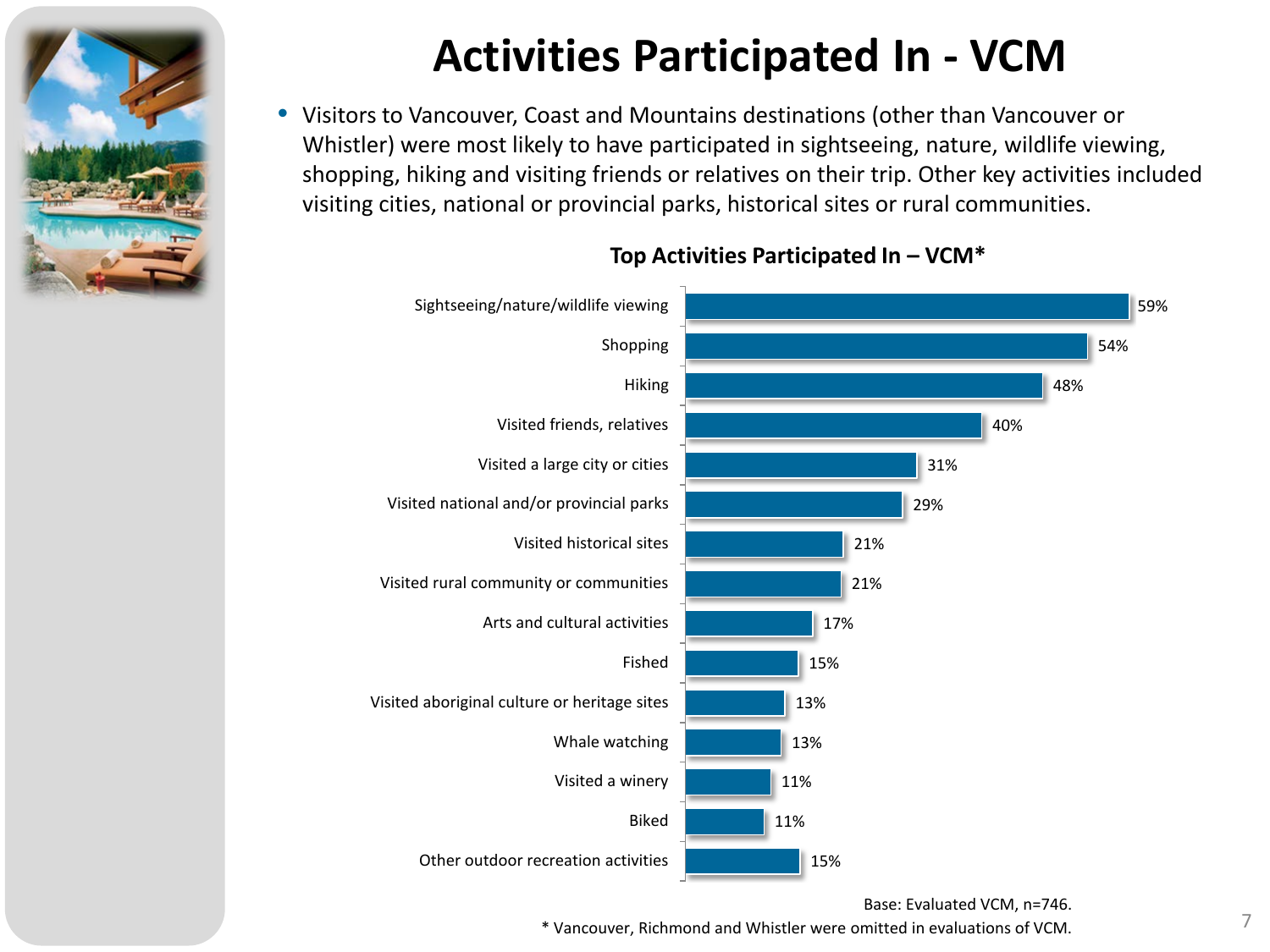

### **Activities Participated In - VCM**

• Visitors to Vancouver, Coast and Mountains destinations (other than Vancouver or Whistler) were most likely to have participated in sightseeing, nature, wildlife viewing, shopping, hiking and visiting friends or relatives on their trip. Other key activities included visiting cities, national or provincial parks, historical sites or rural communities.



#### **Top Activities Participated In – VCM\***

Base: Evaluated VCM, n=746.

 $*$  Vancouver, Richmond and Whistler were omitted in evaluations of VCM.  $7$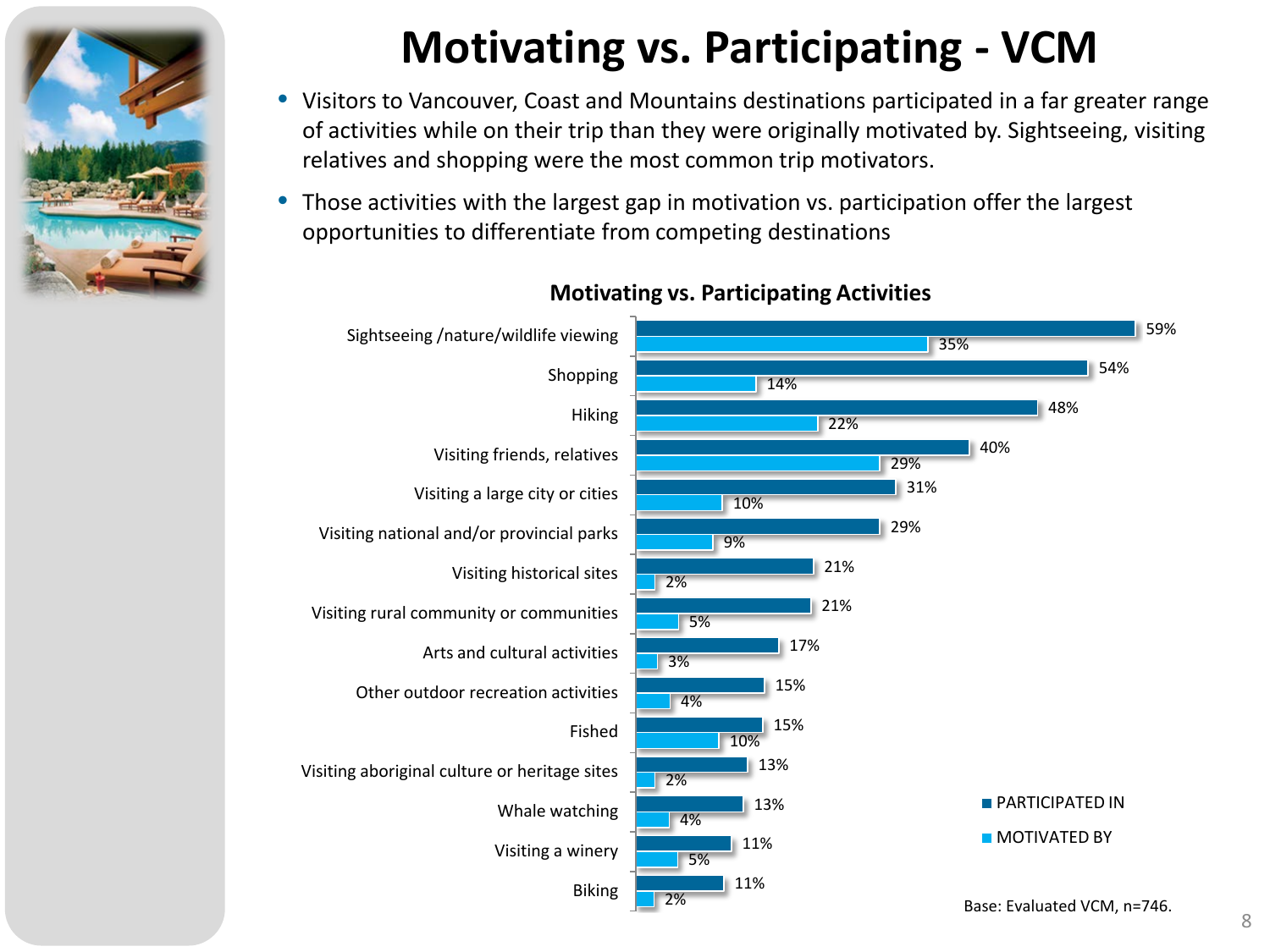

## **Motivating vs. Participating - VCM**

- Visitors to Vancouver, Coast and Mountains destinations participated in a far greater range of activities while on their trip than they were originally motivated by. Sightseeing, visiting relatives and shopping were the most common trip motivators.
- Those activities with the largest gap in motivation vs. participation offer the largest opportunities to differentiate from competing destinations



#### **Motivating vs. Participating Activities**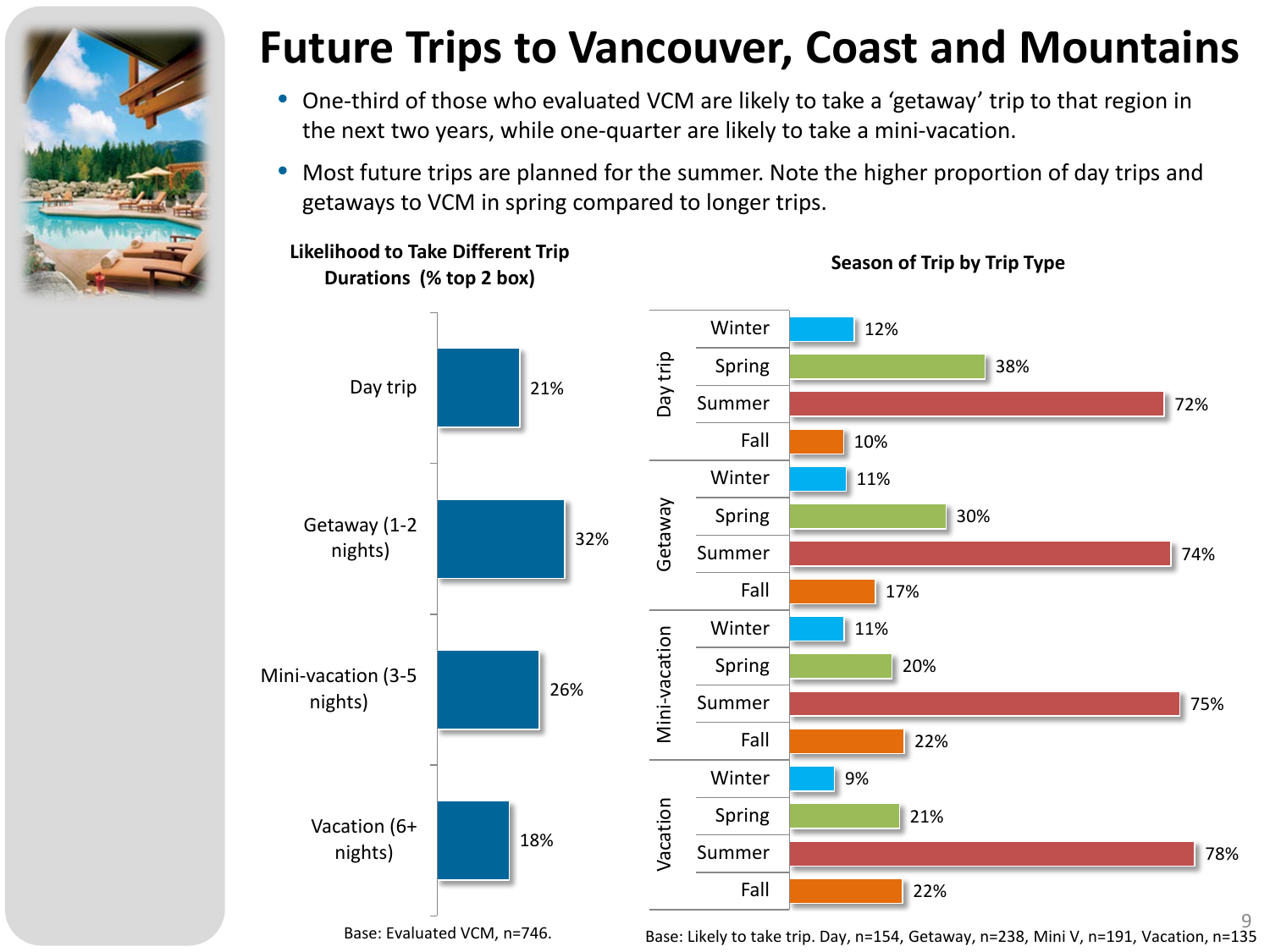

### **Future Trips to Vancouver, Coast and Mountains**

- One-third of those who evaluated VCM are likely to take a 'getaway' trip to that region in the next two years, while one-quarter are likely to take a mini-vacation.
- Most future trips are planned for the summer. Note the higher proportion of day trips and getaways to VCM in spring compared to longer trips.



**Likelihood to Take Different Trip Durations (% top 2 box)**

**Season of Trip by Trip Type**

9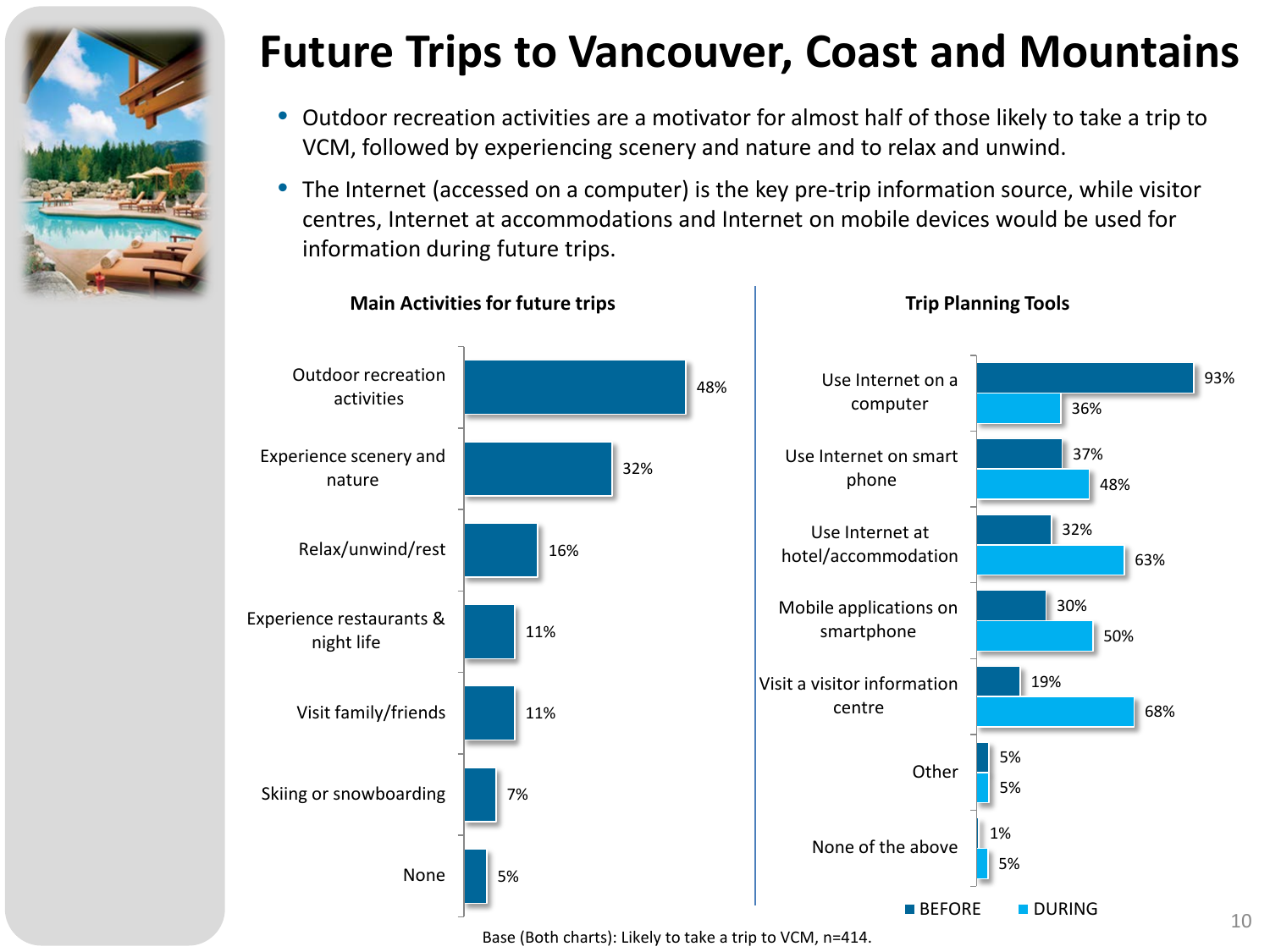

### **Future Trips to Vancouver, Coast and Mountains**

- Outdoor recreation activities are a motivator for almost half of those likely to take a trip to VCM, followed by experiencing scenery and nature and to relax and unwind.
- The Internet (accessed on a computer) is the key pre-trip information source, while visitor centres, Internet at accommodations and Internet on mobile devices would be used for information during future trips.

**Trip Planning Tools**

**Main Activities for future trips**



Base (Both charts): Likely to take a trip to VCM, n=414.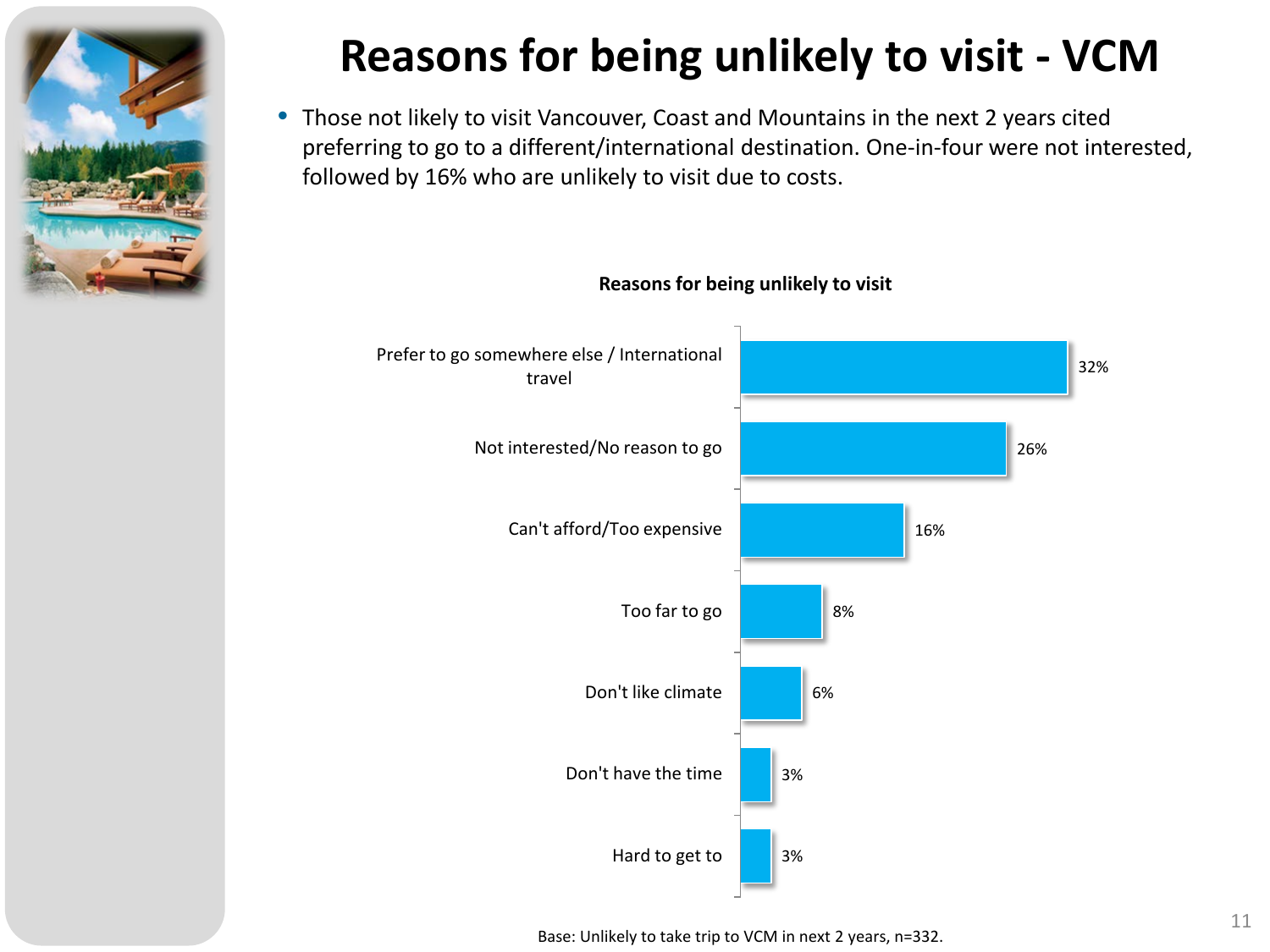

## **Reasons for being unlikely to visit - VCM**

• Those not likely to visit Vancouver, Coast and Mountains in the next 2 years cited preferring to go to a different/international destination. One-in-four were not interested, followed by 16% who are unlikely to visit due to costs.

#### **Reasons for being unlikely to visit**



Base: Unlikely to take trip to VCM in next 2 years, n=332.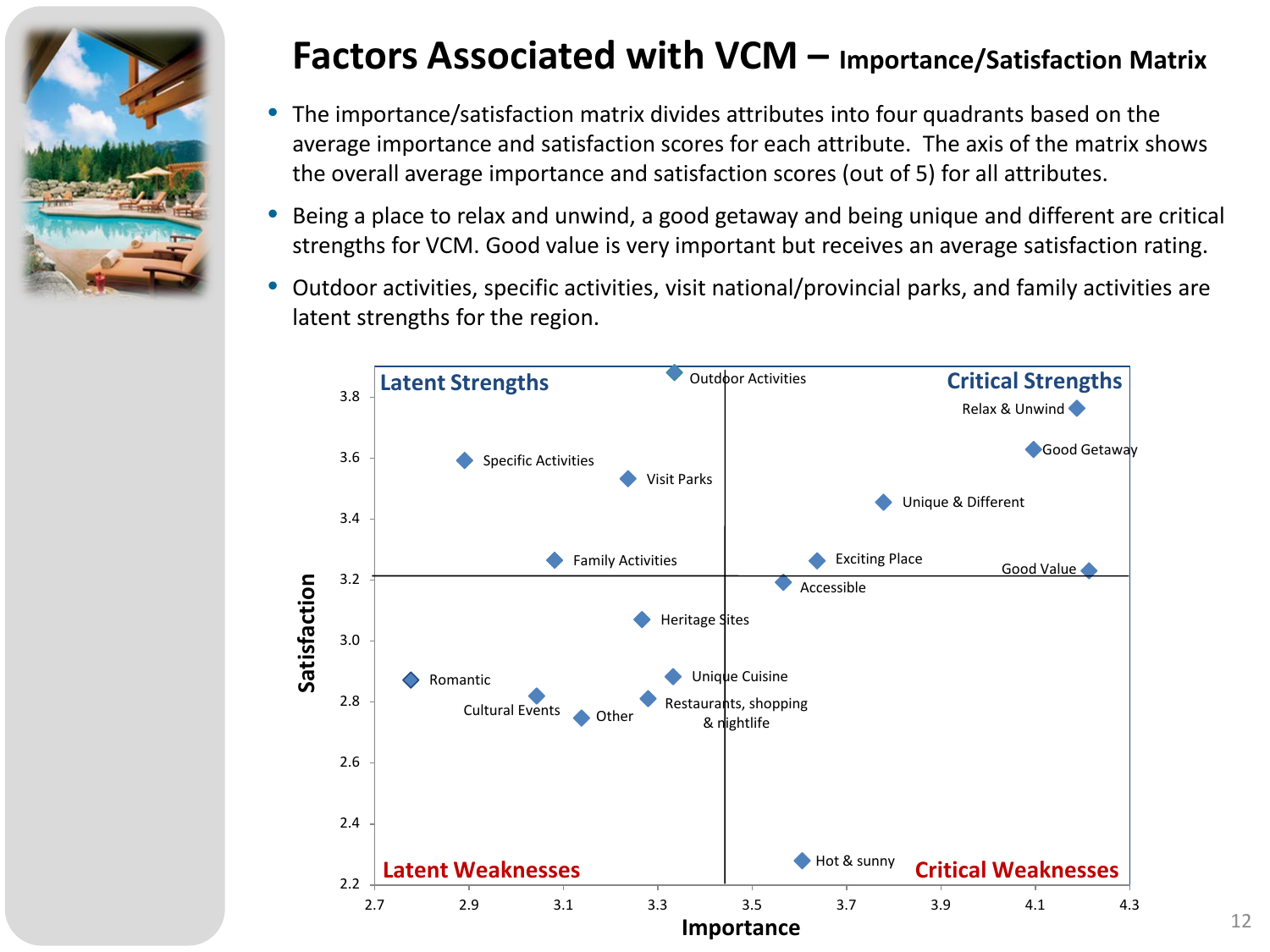

#### **Factors Associated with VCM – Importance/Satisfaction Matrix**

- The importance/satisfaction matrix divides attributes into four quadrants based on the average importance and satisfaction scores for each attribute. The axis of the matrix shows the overall average importance and satisfaction scores (out of 5) for all attributes.
- Being a place to relax and unwind, a good getaway and being unique and different are critical strengths for VCM. Good value is very important but receives an average satisfaction rating.
- Outdoor activities, specific activities, visit national/provincial parks, and family activities are latent strengths for the region.

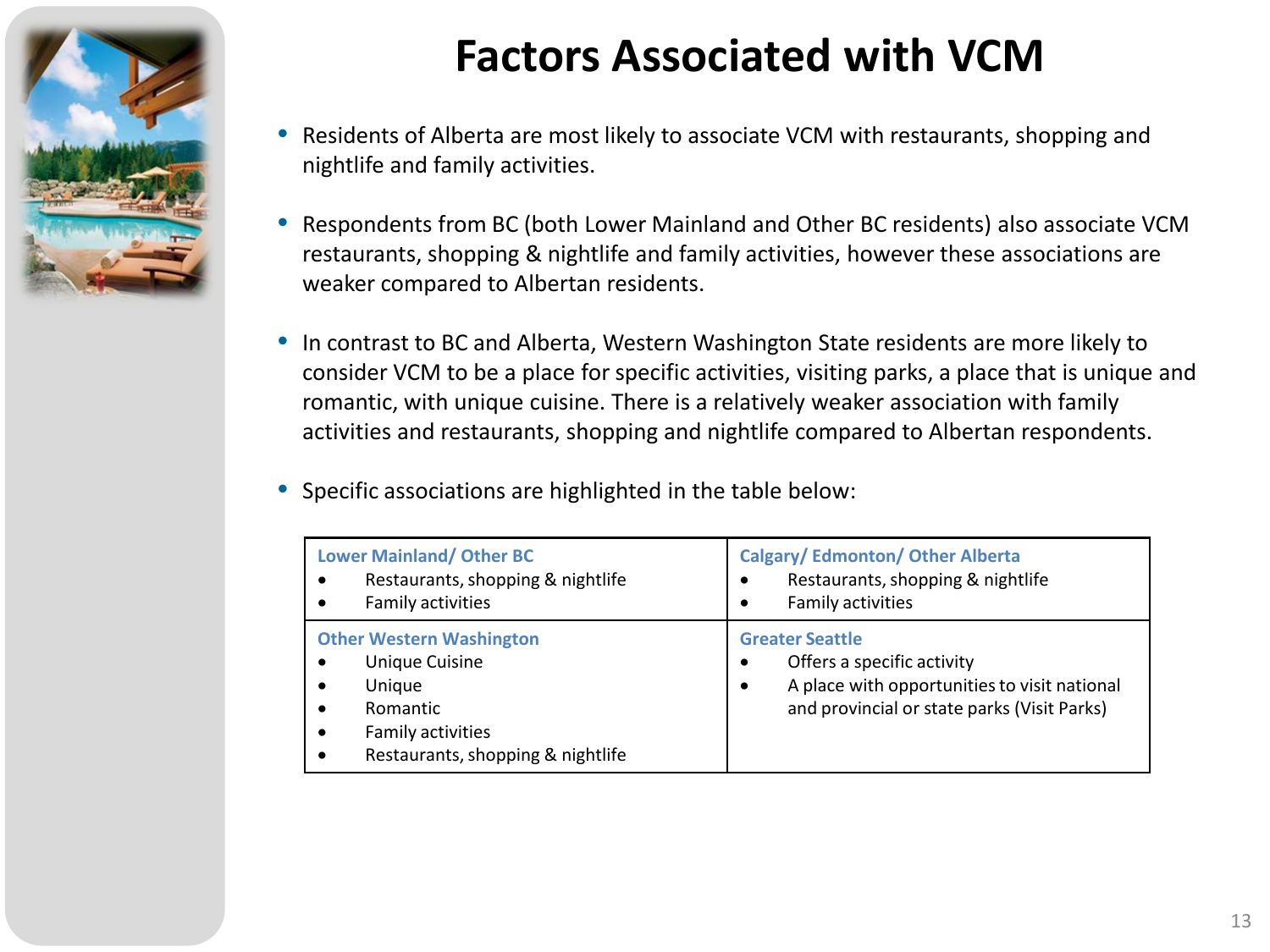

## **Factors Associated with VCM**

- Residents of Alberta are most likely to associate VCM with restaurants, shopping and nightlife and family activities.
- Respondents from BC (both Lower Mainland and Other BC residents) also associate VCM restaurants, shopping & nightlife and family activities, however these associations are weaker compared to Albertan residents.
- In contrast to BC and Alberta, Western Washington State residents are more likely to consider VCM to be a place for specific activities, visiting parks, a place that is unique and romantic, with unique cuisine. There is a relatively weaker association with family activities and restaurants, shopping and nightlife compared to Albertan respondents.
- Specific associations are highlighted in the table below:

| <b>Lower Mainland/ Other BC</b><br>Restaurants, shopping & nightlife<br>Family activities | <b>Calgary/Edmonton/Other Alberta</b><br>Restaurants, shopping & nightlife<br>$\bullet$<br>Family activities<br>$\bullet$ |
|-------------------------------------------------------------------------------------------|---------------------------------------------------------------------------------------------------------------------------|
| <b>Other Western Washington</b>                                                           | <b>Greater Seattle</b>                                                                                                    |
| <b>Unique Cuisine</b>                                                                     | Offers a specific activity                                                                                                |
| Unique                                                                                    | $\bullet$                                                                                                                 |
| Romantic                                                                                  | A place with opportunities to visit national                                                                              |
| Family activities                                                                         | $\bullet$                                                                                                                 |
| Restaurants, shopping & nightlife                                                         | and provincial or state parks (Visit Parks)                                                                               |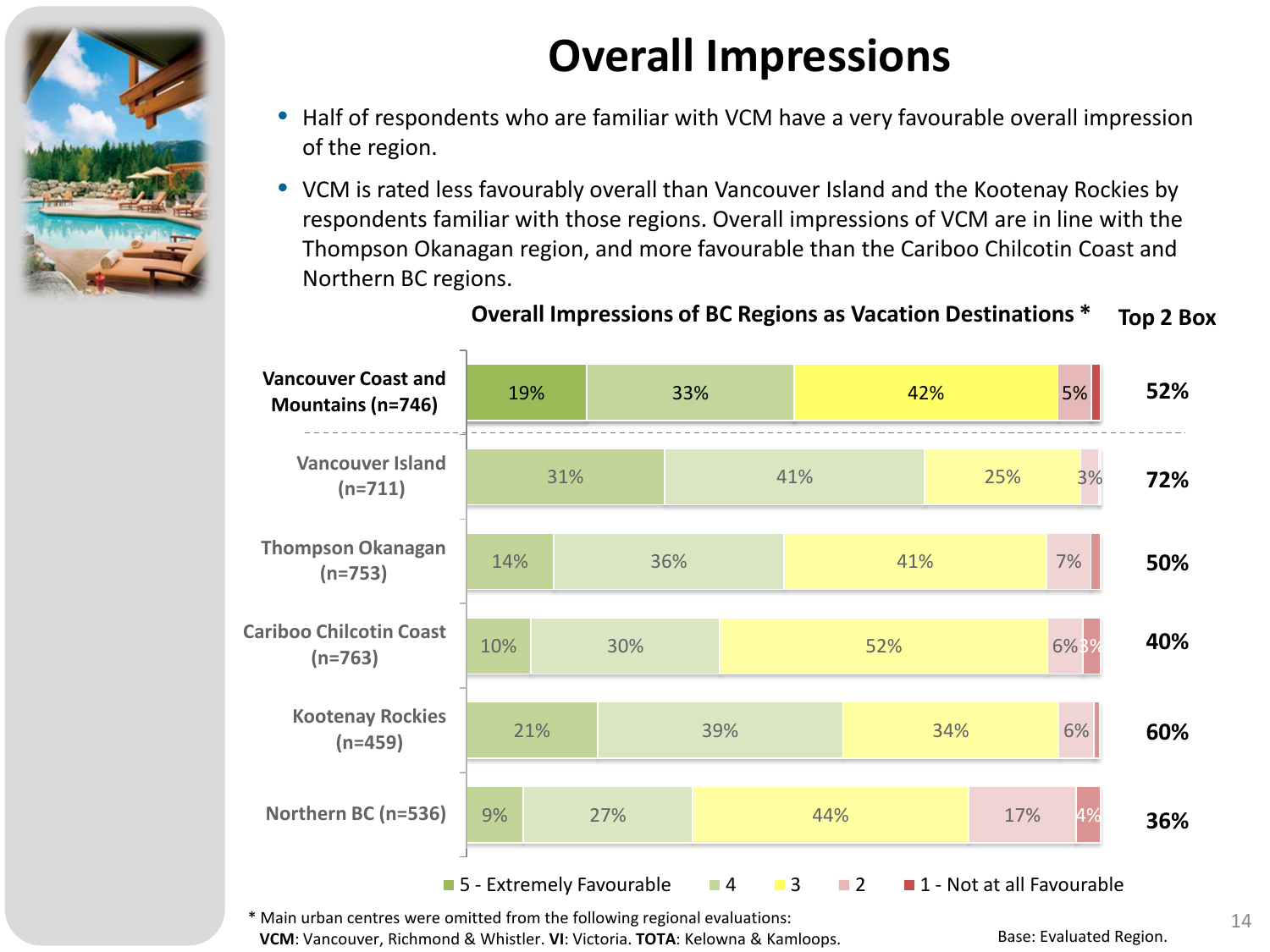

## **Overall Impressions**

- Half of respondents who are familiar with VCM have a very favourable overall impression of the region.
- VCM is rated less favourably overall than Vancouver Island and the Kootenay Rockies by respondents familiar with those regions. Overall impressions of VCM are in line with the Thompson Okanagan region, and more favourable than the Cariboo Chilcotin Coast and Northern BC regions.



#### **Overall Impressions of BC Regions as Vacation Destinations \* Top 2 Box**

 $*$  Main urban centres were omitted from the following regional evaluations:  $14$ **VCM**: Vancouver, Richmond & Whistler. **VI**: Victoria. **TOTA**: Kelowna & Kamloops.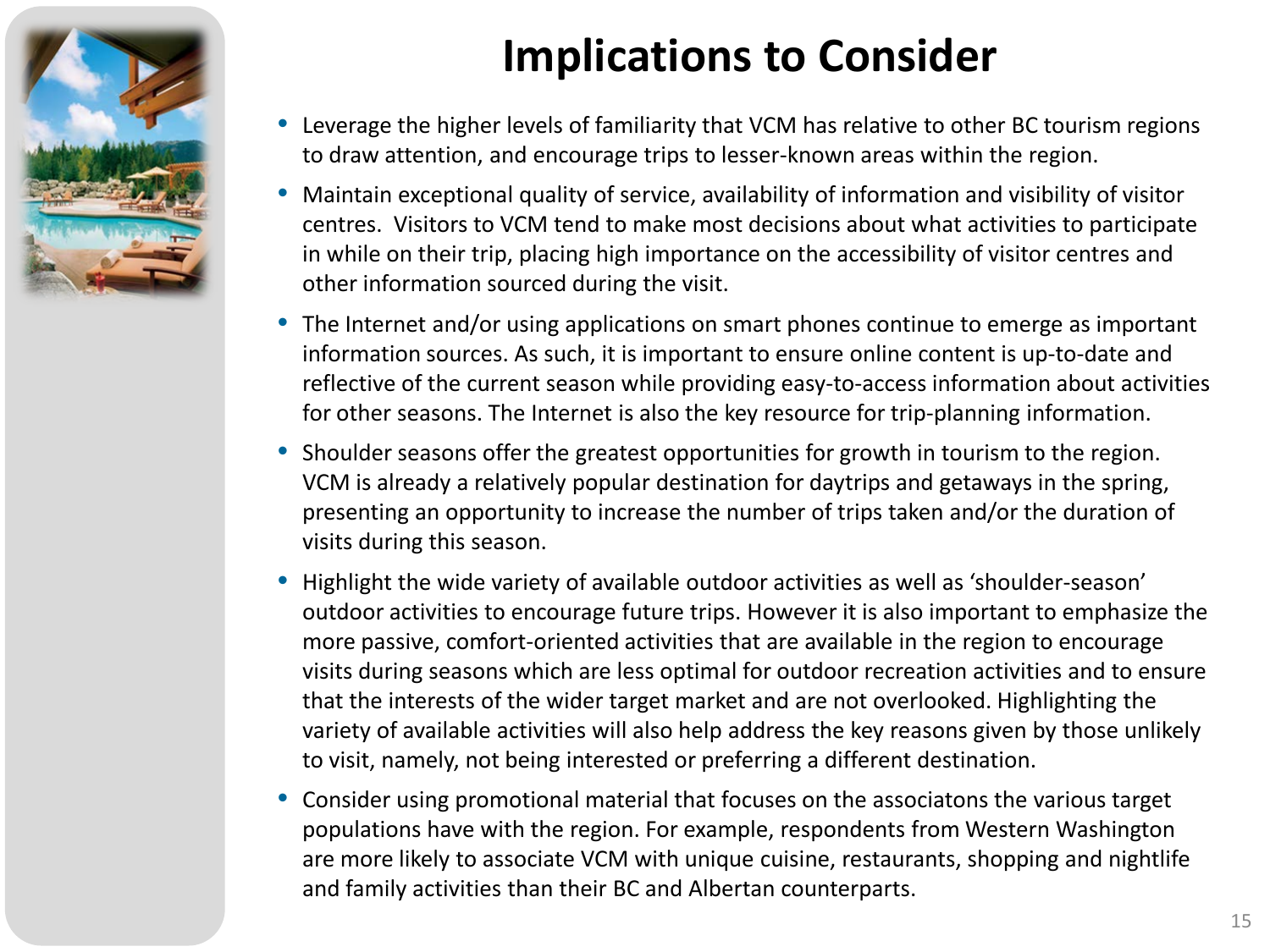

## **Implications to Consider**

- Leverage the higher levels of familiarity that VCM has relative to other BC tourism regions to draw attention, and encourage trips to lesser-known areas within the region.
- Maintain exceptional quality of service, availability of information and visibility of visitor centres. Visitors to VCM tend to make most decisions about what activities to participate in while on their trip, placing high importance on the accessibility of visitor centres and other information sourced during the visit.
- The Internet and/or using applications on smart phones continue to emerge as important information sources. As such, it is important to ensure online content is up-to-date and reflective of the current season while providing easy-to-access information about activities for other seasons. The Internet is also the key resource for trip-planning information.
- Shoulder seasons offer the greatest opportunities for growth in tourism to the region. VCM is already a relatively popular destination for daytrips and getaways in the spring, presenting an opportunity to increase the number of trips taken and/or the duration of visits during this season.
- Highlight the wide variety of available outdoor activities as well as 'shoulder-season' outdoor activities to encourage future trips. However it is also important to emphasize the more passive, comfort-oriented activities that are available in the region to encourage visits during seasons which are less optimal for outdoor recreation activities and to ensure that the interests of the wider target market and are not overlooked. Highlighting the variety of available activities will also help address the key reasons given by those unlikely to visit, namely, not being interested or preferring a different destination.
- Consider using promotional material that focuses on the associatons the various target populations have with the region. For example, respondents from Western Washington are more likely to associate VCM with unique cuisine, restaurants, shopping and nightlife and family activities than their BC and Albertan counterparts.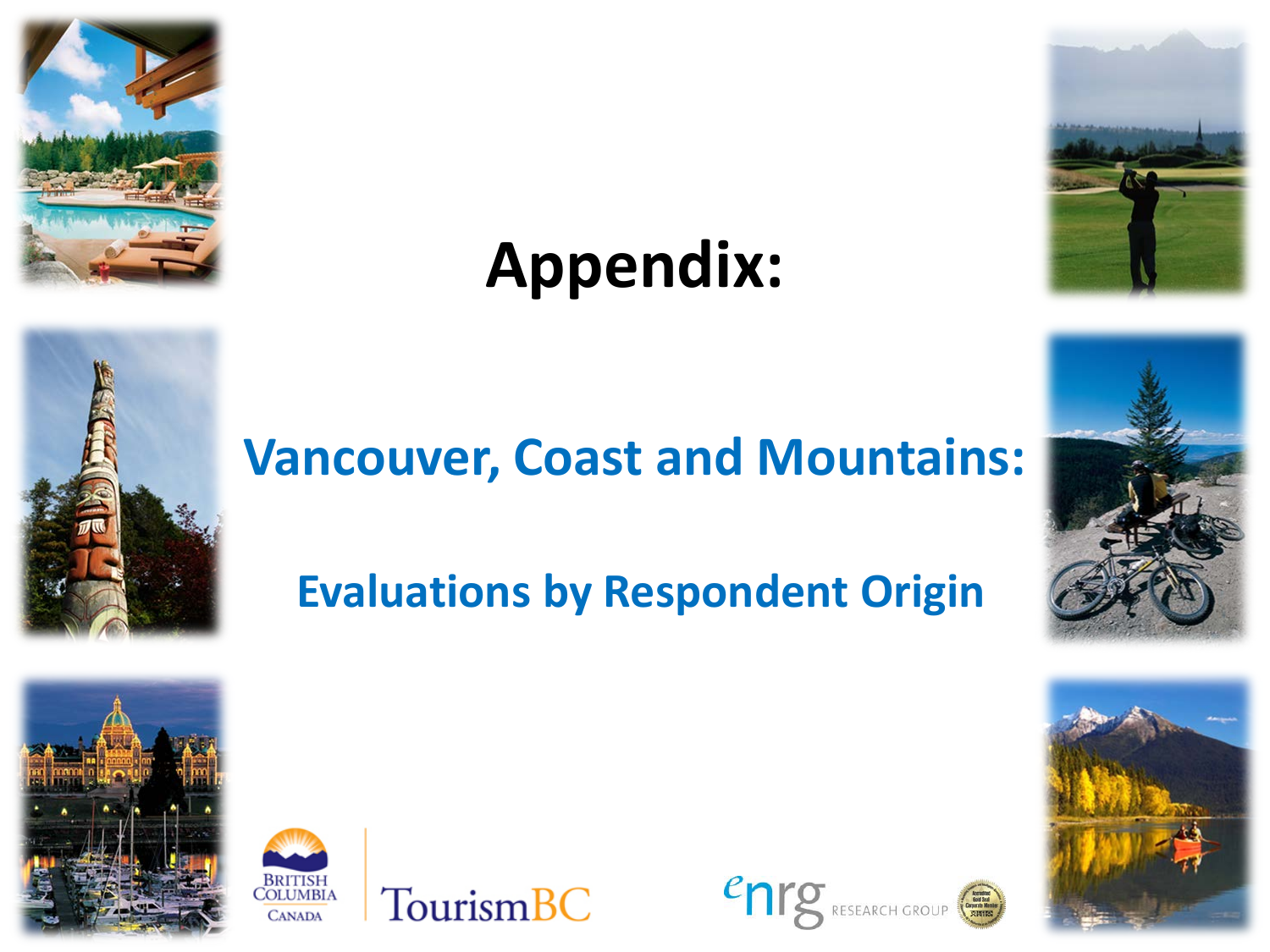

# **Appendix:**



## **Vancouver, Coast and Mountains:**

## **Evaluations by Respondent Origin**











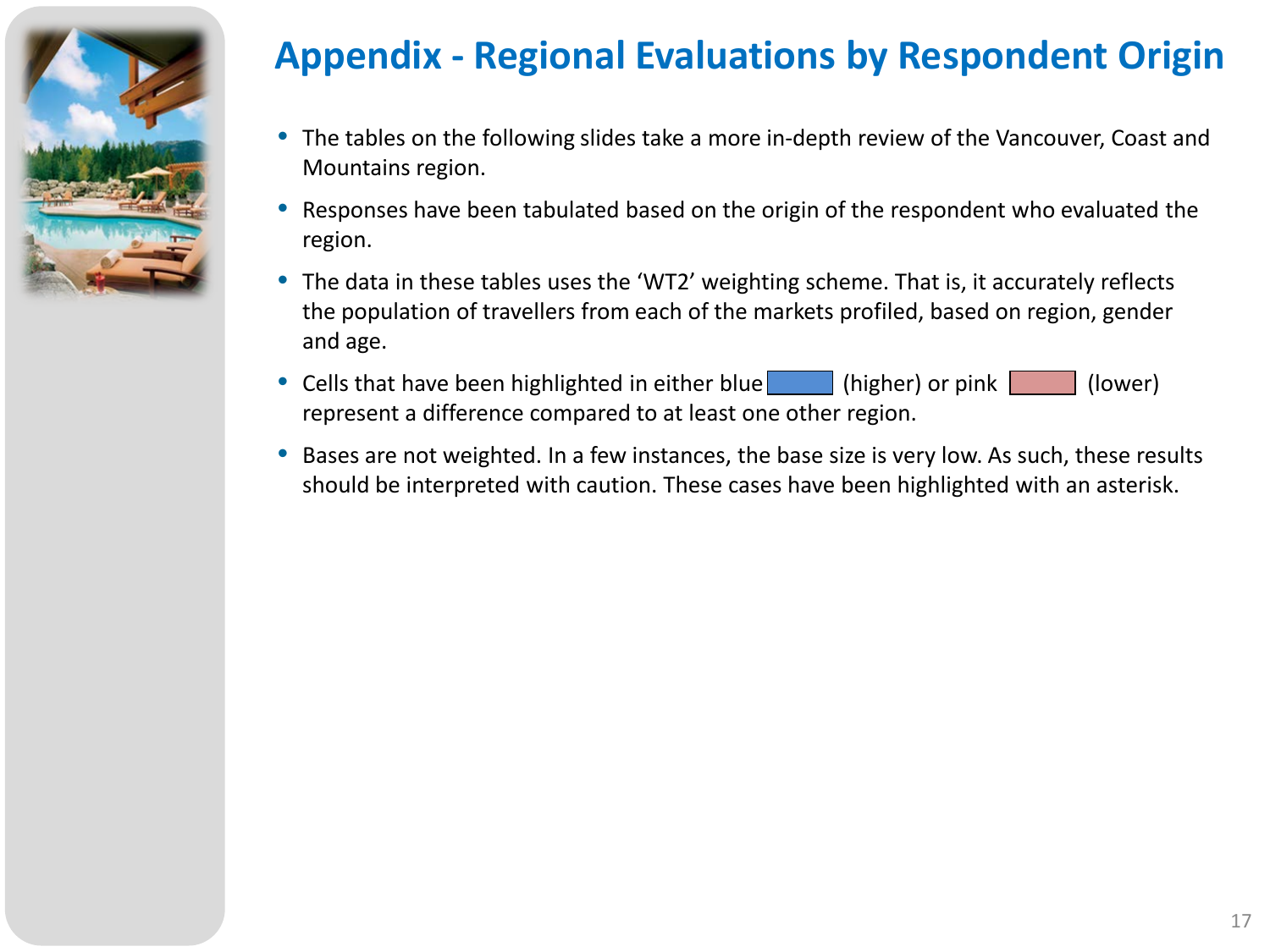

### **Appendix - Regional Evaluations by Respondent Origin**

- The tables on the following slides take a more in-depth review of the Vancouver, Coast and Mountains region.
- Responses have been tabulated based on the origin of the respondent who evaluated the region.
- The data in these tables uses the 'WT2' weighting scheme. That is, it accurately reflects the population of travellers from each of the markets profiled, based on region, gender and age.
- Cells that have been highlighted in either blue (higher) or pink (lower) represent a difference compared to at least one other region.
- Bases are not weighted. In a few instances, the base size is very low. As such, these results should be interpreted with caution. These cases have been highlighted with an asterisk.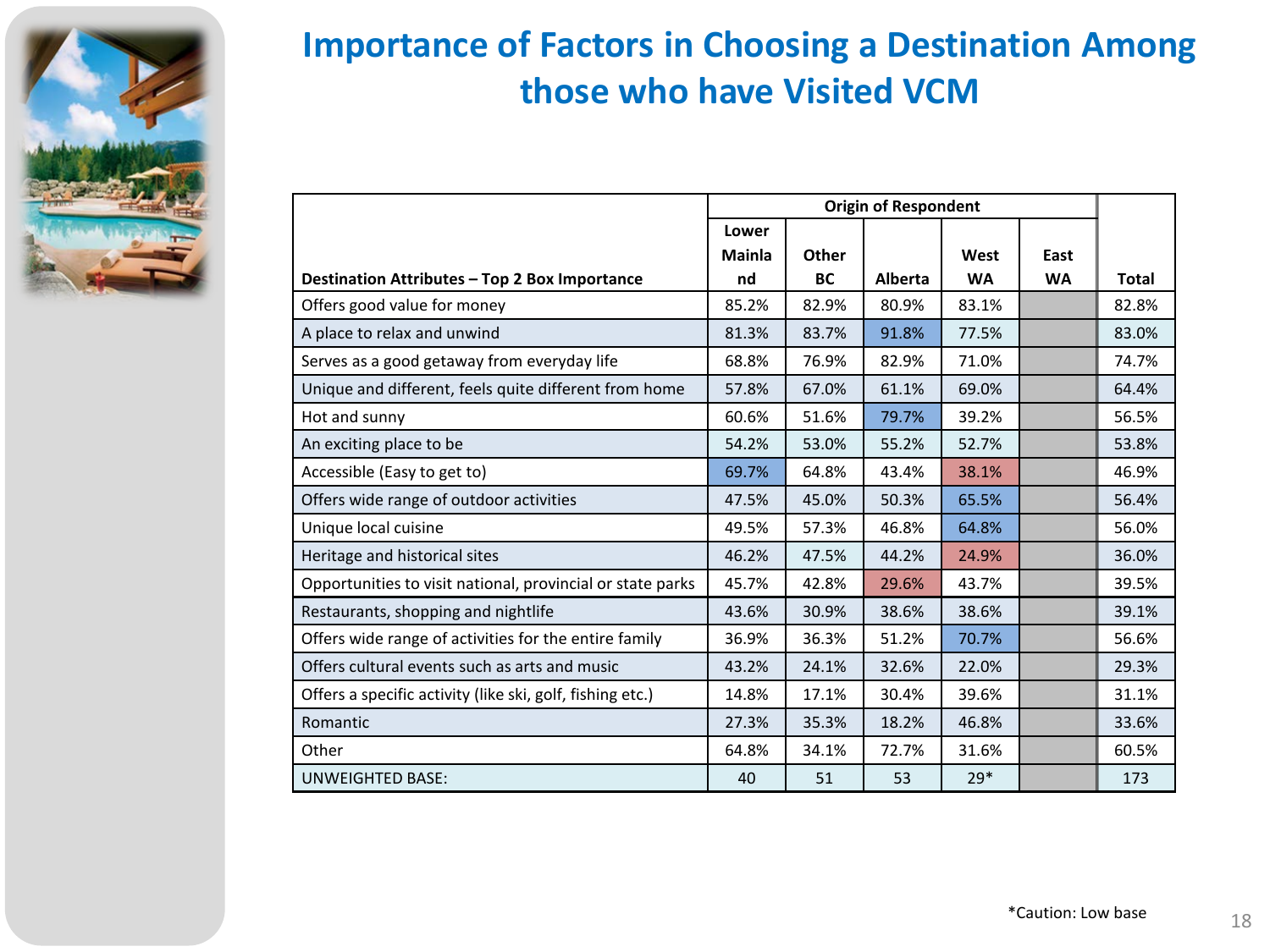

### **Importance of Factors in Choosing a Destination Among those who have Visited VCM**

|                                                            | Lower  |           |         |           |           |              |
|------------------------------------------------------------|--------|-----------|---------|-----------|-----------|--------------|
|                                                            | Mainla | Other     |         | West      | East      |              |
| Destination Attributes - Top 2 Box Importance              | nd     | <b>BC</b> | Alberta | <b>WA</b> | <b>WA</b> | <b>Total</b> |
| Offers good value for money                                | 85.2%  | 82.9%     | 80.9%   | 83.1%     |           | 82.8%        |
| A place to relax and unwind                                | 81.3%  | 83.7%     | 91.8%   | 77.5%     |           | 83.0%        |
| Serves as a good getaway from everyday life                | 68.8%  | 76.9%     | 82.9%   | 71.0%     |           | 74.7%        |
| Unique and different, feels quite different from home      | 57.8%  | 67.0%     | 61.1%   | 69.0%     |           | 64.4%        |
| Hot and sunny                                              | 60.6%  | 51.6%     | 79.7%   | 39.2%     |           | 56.5%        |
| An exciting place to be                                    | 54.2%  | 53.0%     | 55.2%   | 52.7%     |           | 53.8%        |
| Accessible (Easy to get to)                                | 69.7%  | 64.8%     | 43.4%   | 38.1%     |           | 46.9%        |
| Offers wide range of outdoor activities                    | 47.5%  | 45.0%     | 50.3%   | 65.5%     |           | 56.4%        |
| Unique local cuisine                                       | 49.5%  | 57.3%     | 46.8%   | 64.8%     |           | 56.0%        |
| Heritage and historical sites                              | 46.2%  | 47.5%     | 44.2%   | 24.9%     |           | 36.0%        |
| Opportunities to visit national, provincial or state parks | 45.7%  | 42.8%     | 29.6%   | 43.7%     |           | 39.5%        |
| Restaurants, shopping and nightlife                        | 43.6%  | 30.9%     | 38.6%   | 38.6%     |           | 39.1%        |
| Offers wide range of activities for the entire family      | 36.9%  | 36.3%     | 51.2%   | 70.7%     |           | 56.6%        |
| Offers cultural events such as arts and music              | 43.2%  | 24.1%     | 32.6%   | 22.0%     |           | 29.3%        |
| Offers a specific activity (like ski, golf, fishing etc.)  | 14.8%  | 17.1%     | 30.4%   | 39.6%     |           | 31.1%        |
| Romantic                                                   | 27.3%  | 35.3%     | 18.2%   | 46.8%     |           | 33.6%        |
| Other                                                      | 64.8%  | 34.1%     | 72.7%   | 31.6%     |           | 60.5%        |
| <b>UNWEIGHTED BASE:</b>                                    | 40     | 51        | 53      | $29*$     |           | 173          |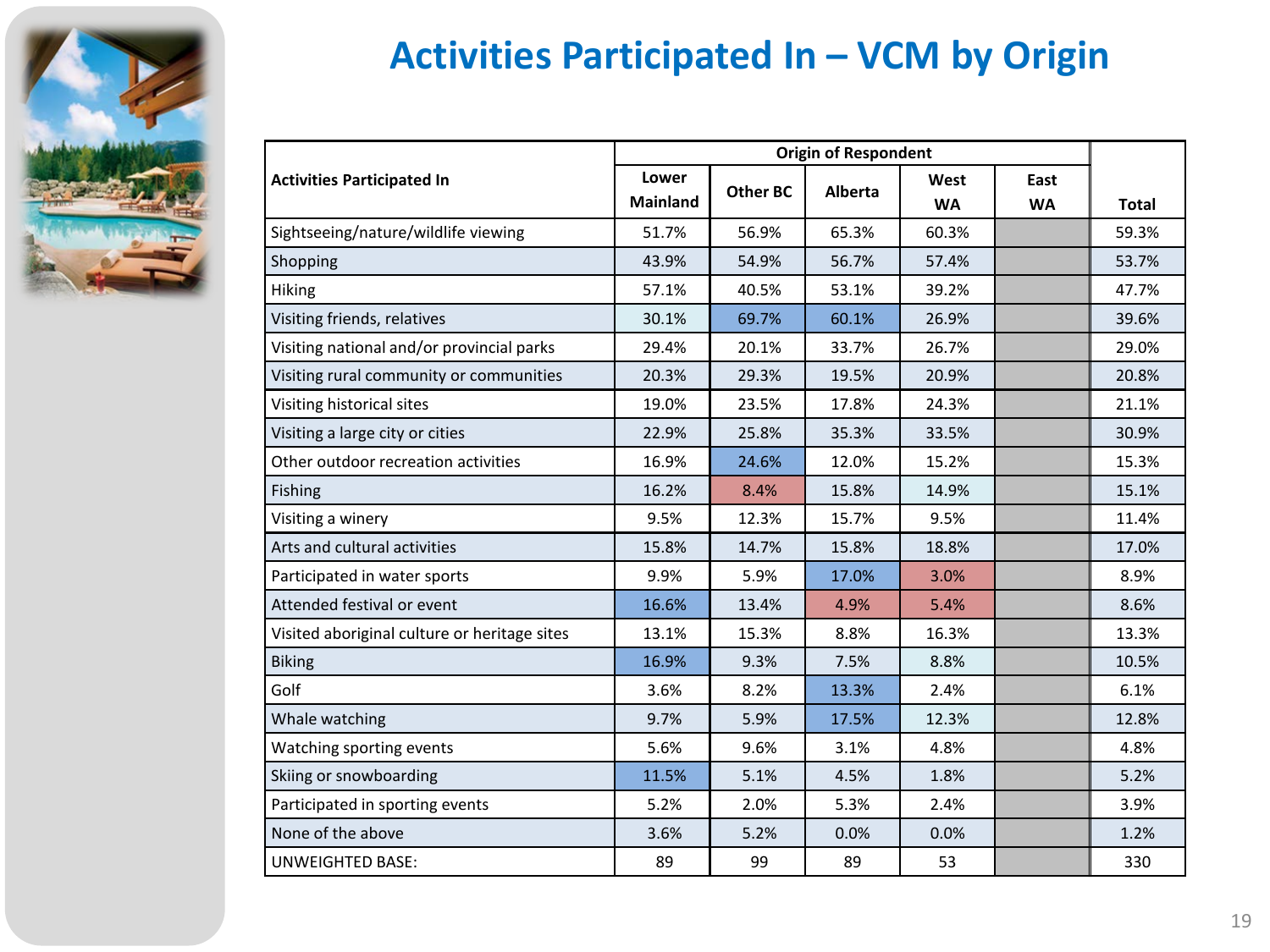

### **Activities Participated In – VCM by Origin**

| <b>Activities Participated In</b>            | Lower<br><b>Mainland</b> | <b>Other BC</b> | Alberta | West<br><b>WA</b> | East<br><b>WA</b> | <b>Total</b> |
|----------------------------------------------|--------------------------|-----------------|---------|-------------------|-------------------|--------------|
| Sightseeing/nature/wildlife viewing          | 51.7%                    | 56.9%           | 65.3%   | 60.3%             |                   | 59.3%        |
| Shopping                                     | 43.9%                    | 54.9%           | 56.7%   | 57.4%             |                   | 53.7%        |
| Hiking                                       | 57.1%                    | 40.5%           | 53.1%   | 39.2%             |                   | 47.7%        |
| Visiting friends, relatives                  | 30.1%                    | 69.7%           | 60.1%   | 26.9%             |                   | 39.6%        |
| Visiting national and/or provincial parks    | 29.4%                    | 20.1%           | 33.7%   | 26.7%             |                   | 29.0%        |
| Visiting rural community or communities      | 20.3%                    | 29.3%           | 19.5%   | 20.9%             |                   | 20.8%        |
| Visiting historical sites                    | 19.0%                    | 23.5%           | 17.8%   | 24.3%             |                   | 21.1%        |
| Visiting a large city or cities              | 22.9%                    | 25.8%           | 35.3%   | 33.5%             |                   | 30.9%        |
| Other outdoor recreation activities          | 16.9%                    | 24.6%           | 12.0%   | 15.2%             |                   | 15.3%        |
| Fishing                                      | 16.2%                    | 8.4%            | 15.8%   | 14.9%             |                   | 15.1%        |
| Visiting a winery                            | 9.5%                     | 12.3%           | 15.7%   | 9.5%              |                   | 11.4%        |
| Arts and cultural activities                 | 15.8%                    | 14.7%           | 15.8%   | 18.8%             |                   | 17.0%        |
| Participated in water sports                 | 9.9%                     | 5.9%            | 17.0%   | 3.0%              |                   | 8.9%         |
| Attended festival or event                   | 16.6%                    | 13.4%           | 4.9%    | 5.4%              |                   | 8.6%         |
| Visited aboriginal culture or heritage sites | 13.1%                    | 15.3%           | 8.8%    | 16.3%             |                   | 13.3%        |
| <b>Biking</b>                                | 16.9%                    | 9.3%            | 7.5%    | 8.8%              |                   | 10.5%        |
| Golf                                         | 3.6%                     | 8.2%            | 13.3%   | 2.4%              |                   | 6.1%         |
| Whale watching                               | 9.7%                     | 5.9%            | 17.5%   | 12.3%             |                   | 12.8%        |
| Watching sporting events                     | 5.6%                     | 9.6%            | 3.1%    | 4.8%              |                   | 4.8%         |
| Skiing or snowboarding                       | 11.5%                    | 5.1%            | 4.5%    | 1.8%              |                   | 5.2%         |
| Participated in sporting events              | 5.2%                     | 2.0%            | 5.3%    | 2.4%              |                   | 3.9%         |
| None of the above                            | 3.6%                     | 5.2%            | 0.0%    | 0.0%              |                   | 1.2%         |
| <b>UNWEIGHTED BASE:</b>                      | 89                       | 99              | 89      | 53                |                   | 330          |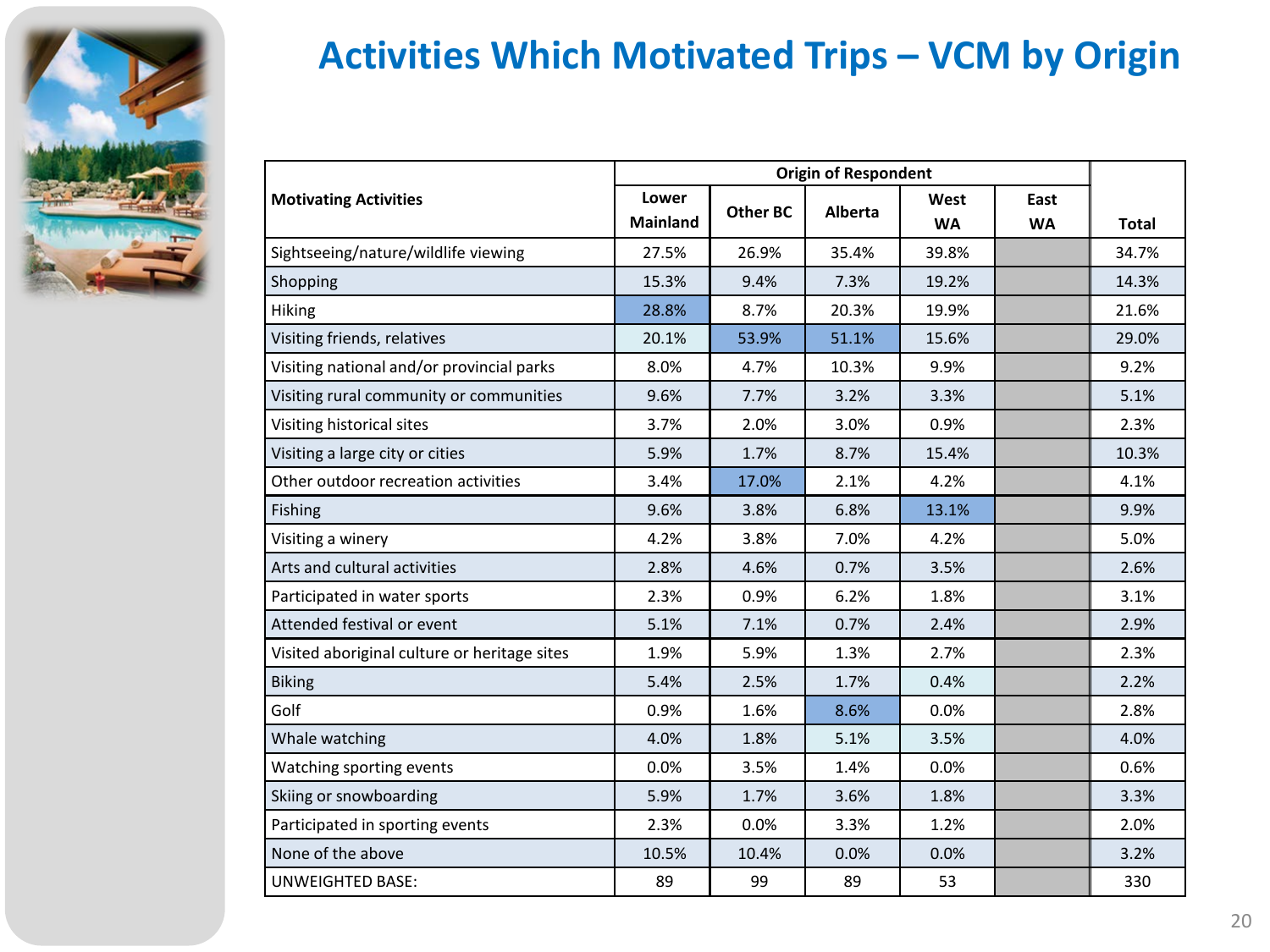

### **Activities Which Motivated Trips – VCM by Origin**

| <b>Motivating Activities</b>                 | Lower           | <b>Other BC</b> | Alberta | West      | East      |              |
|----------------------------------------------|-----------------|-----------------|---------|-----------|-----------|--------------|
|                                              | <b>Mainland</b> |                 |         | <b>WA</b> | <b>WA</b> | <b>Total</b> |
| Sightseeing/nature/wildlife viewing          | 27.5%           | 26.9%           | 35.4%   | 39.8%     |           | 34.7%        |
| Shopping                                     | 15.3%           | 9.4%            | 7.3%    | 19.2%     |           | 14.3%        |
| <b>Hiking</b>                                | 28.8%           | 8.7%            | 20.3%   | 19.9%     |           | 21.6%        |
| Visiting friends, relatives                  | 20.1%           | 53.9%           | 51.1%   | 15.6%     |           | 29.0%        |
| Visiting national and/or provincial parks    | 8.0%            | 4.7%            | 10.3%   | 9.9%      |           | 9.2%         |
| Visiting rural community or communities      | 9.6%            | 7.7%            | 3.2%    | 3.3%      |           | 5.1%         |
| Visiting historical sites                    | 3.7%            | 2.0%            | 3.0%    | 0.9%      |           | 2.3%         |
| Visiting a large city or cities              | 5.9%            | 1.7%            | 8.7%    | 15.4%     |           | 10.3%        |
| Other outdoor recreation activities          | 3.4%            | 17.0%           | 2.1%    | 4.2%      |           | 4.1%         |
| Fishing                                      | 9.6%            | 3.8%            | 6.8%    | 13.1%     |           | 9.9%         |
| Visiting a winery                            | 4.2%            | 3.8%            | 7.0%    | 4.2%      |           | 5.0%         |
| Arts and cultural activities                 | 2.8%            | 4.6%            | 0.7%    | 3.5%      |           | 2.6%         |
| Participated in water sports                 | 2.3%            | 0.9%            | 6.2%    | 1.8%      |           | 3.1%         |
| Attended festival or event                   | 5.1%            | 7.1%            | 0.7%    | 2.4%      |           | 2.9%         |
| Visited aboriginal culture or heritage sites | 1.9%            | 5.9%            | 1.3%    | 2.7%      |           | 2.3%         |
| <b>Biking</b>                                | 5.4%            | 2.5%            | 1.7%    | 0.4%      |           | 2.2%         |
| Golf                                         | 0.9%            | 1.6%            | 8.6%    | 0.0%      |           | 2.8%         |
| Whale watching                               | 4.0%            | 1.8%            | 5.1%    | 3.5%      |           | 4.0%         |
| Watching sporting events                     | 0.0%            | 3.5%            | 1.4%    | 0.0%      |           | 0.6%         |
| Skiing or snowboarding                       | 5.9%            | 1.7%            | 3.6%    | 1.8%      |           | 3.3%         |
| Participated in sporting events              | 2.3%            | 0.0%            | 3.3%    | 1.2%      |           | 2.0%         |
| None of the above                            | 10.5%           | 10.4%           | 0.0%    | 0.0%      |           | 3.2%         |
| <b>UNWEIGHTED BASE:</b>                      | 89              | 99              | 89      | 53        |           | 330          |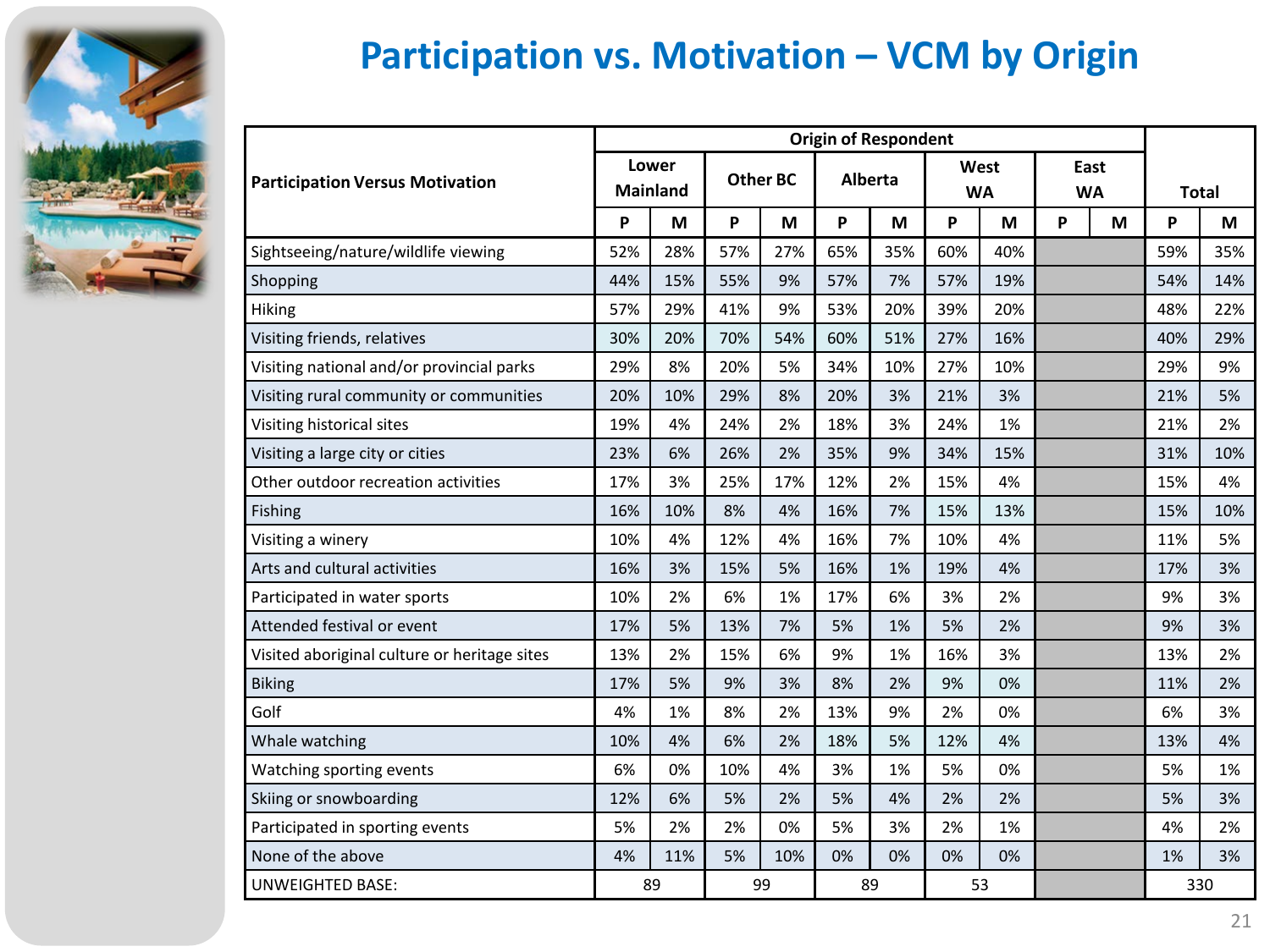

### **Participation vs. Motivation – VCM by Origin**

|                                              | <b>Origin of Respondent</b>                 |     |     |                |                   |     |                   |     |              |   |     |     |
|----------------------------------------------|---------------------------------------------|-----|-----|----------------|-------------------|-----|-------------------|-----|--------------|---|-----|-----|
| <b>Participation Versus Motivation</b>       | Lower<br><b>Other BC</b><br><b>Mainland</b> |     |     | <b>Alberta</b> | West<br><b>WA</b> |     | East<br><b>WA</b> |     | <b>Total</b> |   |     |     |
|                                              | P                                           | M   | P   | M              | P<br>M            |     | P                 | M   | P            | M | P   | M   |
| Sightseeing/nature/wildlife viewing          | 52%                                         | 28% | 57% | 27%            | 65%               | 35% | 60%               | 40% |              |   | 59% | 35% |
| Shopping                                     | 44%                                         | 15% | 55% | 9%             | 57%               | 7%  | 57%               | 19% |              |   | 54% | 14% |
| <b>Hiking</b>                                | 57%                                         | 29% | 41% | 9%             | 53%               | 20% | 39%               | 20% |              |   | 48% | 22% |
| Visiting friends, relatives                  | 30%                                         | 20% | 70% | 54%            | 60%               | 51% | 27%               | 16% |              |   | 40% | 29% |
| Visiting national and/or provincial parks    | 29%                                         | 8%  | 20% | 5%             | 34%               | 10% | 27%               | 10% |              |   | 29% | 9%  |
| Visiting rural community or communities      | 20%                                         | 10% | 29% | 8%             | 20%               | 3%  | 21%               | 3%  |              |   | 21% | 5%  |
| Visiting historical sites                    | 19%                                         | 4%  | 24% | 2%             | 18%               | 3%  | 24%               | 1%  |              |   | 21% | 2%  |
| Visiting a large city or cities              | 23%                                         | 6%  | 26% | 2%             | 35%               | 9%  | 34%               | 15% |              |   | 31% | 10% |
| Other outdoor recreation activities          | 17%                                         | 3%  | 25% | 17%            | 12%               | 2%  | 15%               | 4%  |              |   | 15% | 4%  |
| <b>Fishing</b>                               | 16%                                         | 10% | 8%  | 4%             | 16%               | 7%  | 15%               | 13% |              |   | 15% | 10% |
| Visiting a winery                            | 10%                                         | 4%  | 12% | 4%             | 16%               | 7%  | 10%               | 4%  |              |   | 11% | 5%  |
| Arts and cultural activities                 | 16%                                         | 3%  | 15% | 5%             | 16%               | 1%  | 19%               | 4%  |              |   | 17% | 3%  |
| Participated in water sports                 | 10%                                         | 2%  | 6%  | 1%             | 17%               | 6%  | 3%                | 2%  |              |   | 9%  | 3%  |
| Attended festival or event                   | 17%                                         | 5%  | 13% | 7%             | 5%                | 1%  | 5%                | 2%  |              |   | 9%  | 3%  |
| Visited aboriginal culture or heritage sites | 13%                                         | 2%  | 15% | 6%             | 9%                | 1%  | 16%               | 3%  |              |   | 13% | 2%  |
| <b>Biking</b>                                | 17%                                         | 5%  | 9%  | 3%             | 8%                | 2%  | 9%                | 0%  |              |   | 11% | 2%  |
| Golf                                         | 4%                                          | 1%  | 8%  | 2%             | 13%               | 9%  | 2%                | 0%  |              |   | 6%  | 3%  |
| Whale watching                               | 10%                                         | 4%  | 6%  | 2%             | 18%               | 5%  | 12%               | 4%  |              |   | 13% | 4%  |
| Watching sporting events                     | 6%                                          | 0%  | 10% | 4%             | 3%                | 1%  | 5%                | 0%  |              |   | 5%  | 1%  |
| Skiing or snowboarding                       | 12%                                         | 6%  | 5%  | 2%             | 5%                | 4%  | 2%                | 2%  |              |   | 5%  | 3%  |
| Participated in sporting events              | 5%                                          | 2%  | 2%  | 0%             | 5%                | 3%  | 2%                | 1%  |              |   | 4%  | 2%  |
| None of the above                            | 4%                                          | 11% | 5%  | 10%            | 0%                | 0%  | 0%                | 0%  |              |   | 1%  | 3%  |
| UNWEIGHTED BASE:                             |                                             | 89  |     | 99             | 89                |     |                   | 53  |              |   |     | 330 |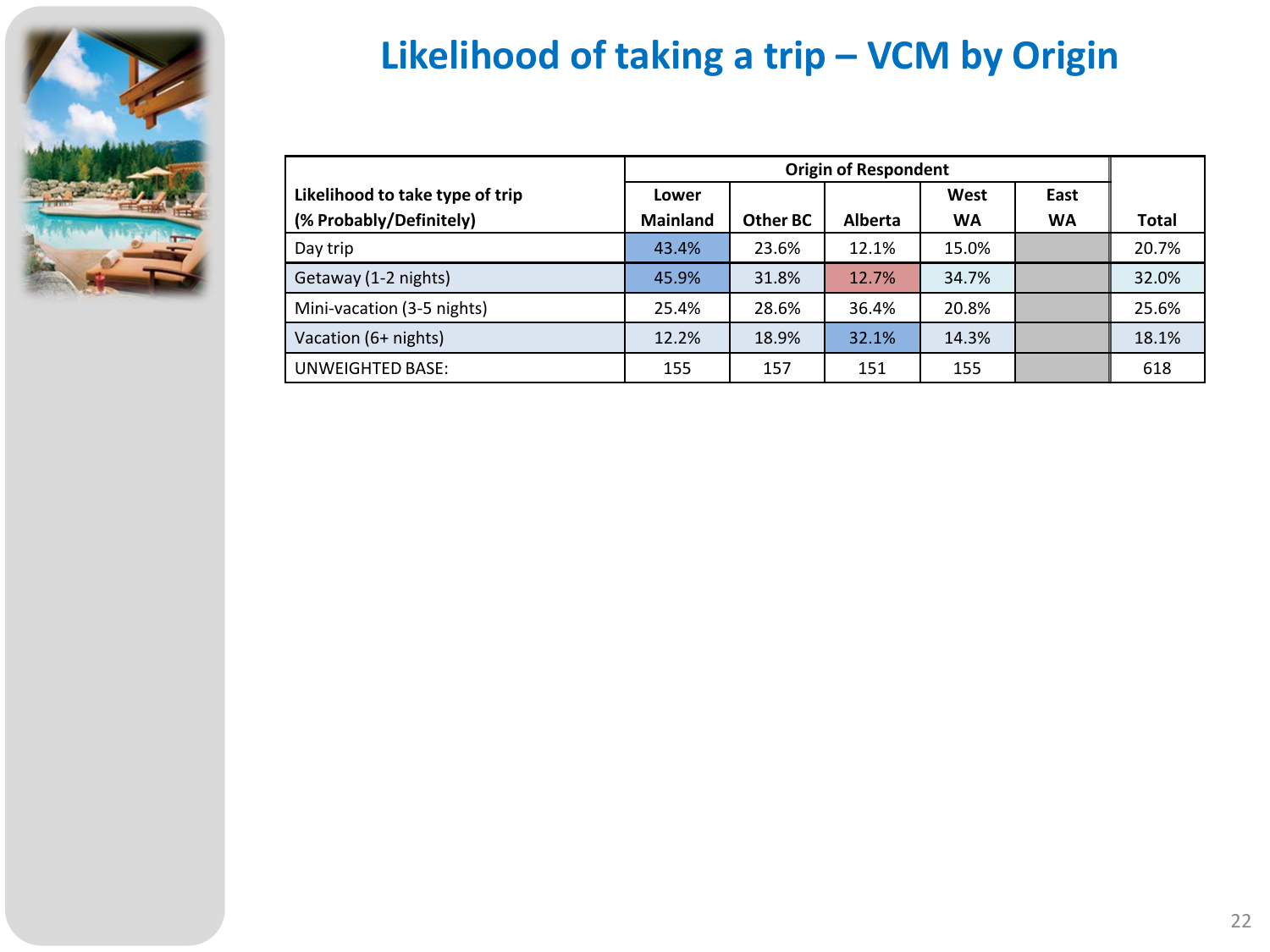

### **Likelihood of taking a trip – VCM by Origin**

| Likelihood to take type of trip | Lower           |          |         | West      | East      |              |
|---------------------------------|-----------------|----------|---------|-----------|-----------|--------------|
| (% Probably/Definitely)         | <b>Mainland</b> | Other BC | Alberta | <b>WA</b> | <b>WA</b> | <b>Total</b> |
| Day trip                        | 43.4%           | 23.6%    | 12.1%   | 15.0%     |           | 20.7%        |
| Getaway (1-2 nights)            | 45.9%           | 31.8%    | 12.7%   | 34.7%     |           | 32.0%        |
| Mini-vacation (3-5 nights)      | 25.4%           | 28.6%    | 36.4%   | 20.8%     |           | 25.6%        |
| Vacation (6+ nights)            | 12.2%           | 18.9%    | 32.1%   | 14.3%     |           | 18.1%        |
| UNWEIGHTED BASE:                | 155             | 157      | 151     | 155       |           | 618          |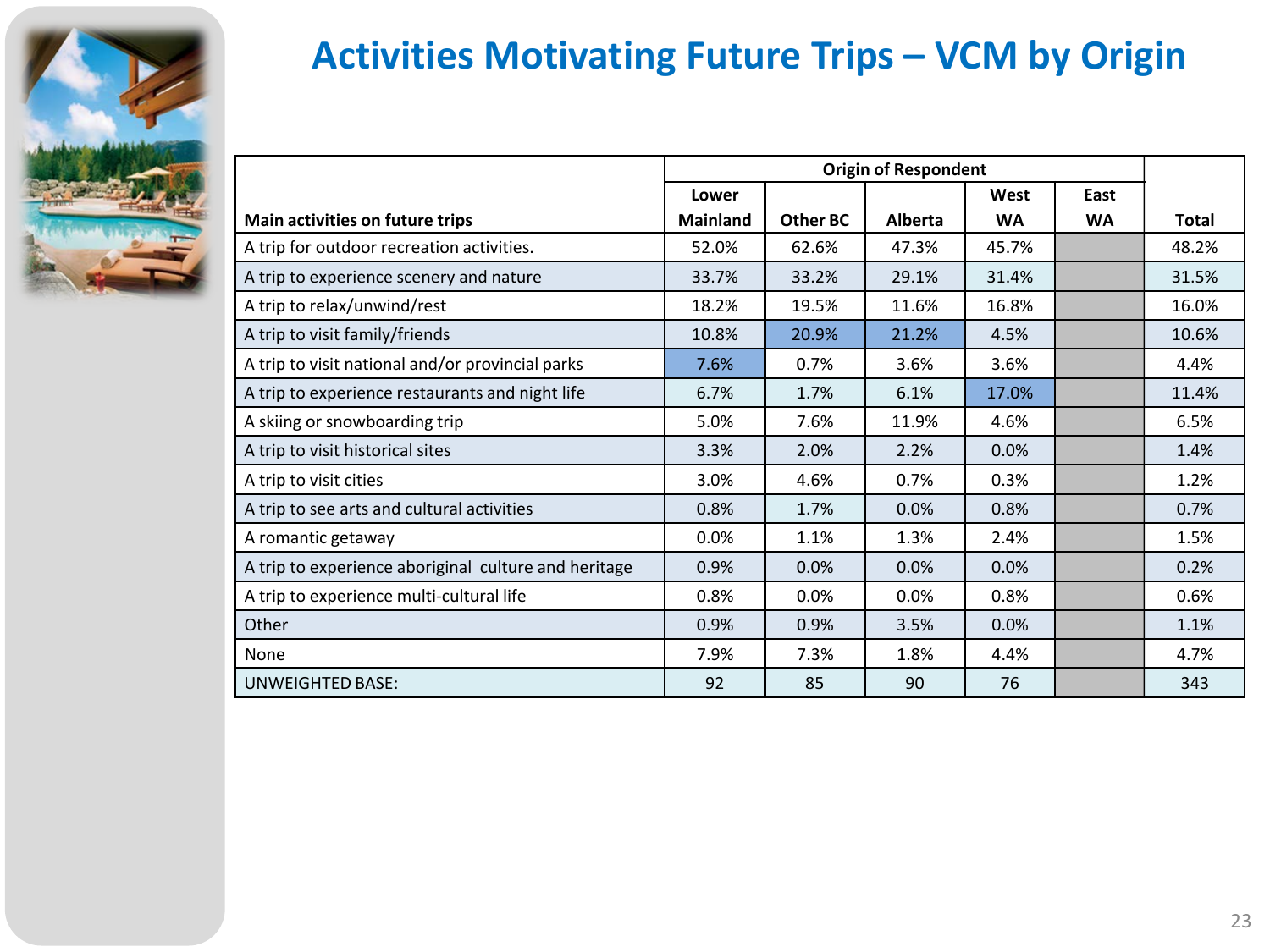

### **Activities Motivating Future Trips – VCM by Origin**

|                                                      | Lower           |          |                | West      | East      |       |
|------------------------------------------------------|-----------------|----------|----------------|-----------|-----------|-------|
| Main activities on future trips                      | <b>Mainland</b> | Other BC | <b>Alberta</b> | <b>WA</b> | <b>WA</b> | Total |
| A trip for outdoor recreation activities.            | 52.0%           | 62.6%    | 47.3%          | 45.7%     |           | 48.2% |
| A trip to experience scenery and nature              | 33.7%           | 33.2%    | 29.1%          | 31.4%     |           | 31.5% |
| A trip to relax/unwind/rest                          | 18.2%           | 19.5%    | 11.6%          | 16.8%     |           | 16.0% |
| A trip to visit family/friends                       | 10.8%           | 20.9%    | 21.2%          | 4.5%      |           | 10.6% |
| A trip to visit national and/or provincial parks     | 7.6%            | 0.7%     | 3.6%           | 3.6%      |           | 4.4%  |
| A trip to experience restaurants and night life      | 6.7%            | 1.7%     | 6.1%           | 17.0%     |           | 11.4% |
| A skiing or snowboarding trip                        | 5.0%            | 7.6%     | 11.9%          | 4.6%      |           | 6.5%  |
| A trip to visit historical sites                     | 3.3%            | 2.0%     | 2.2%           | 0.0%      |           | 1.4%  |
| A trip to visit cities                               | 3.0%            | 4.6%     | 0.7%           | 0.3%      |           | 1.2%  |
| A trip to see arts and cultural activities           | 0.8%            | 1.7%     | 0.0%           | 0.8%      |           | 0.7%  |
| A romantic getaway                                   | 0.0%            | 1.1%     | 1.3%           | 2.4%      |           | 1.5%  |
| A trip to experience aboriginal culture and heritage | 0.9%            | 0.0%     | 0.0%           | 0.0%      |           | 0.2%  |
| A trip to experience multi-cultural life             | 0.8%            | 0.0%     | 0.0%           | 0.8%      |           | 0.6%  |
| Other                                                | 0.9%            | 0.9%     | 3.5%           | 0.0%      |           | 1.1%  |
| None                                                 | 7.9%            | 7.3%     | 1.8%           | 4.4%      |           | 4.7%  |
| <b>UNWEIGHTED BASE:</b>                              | 92              | 85       | 90             | 76        |           | 343   |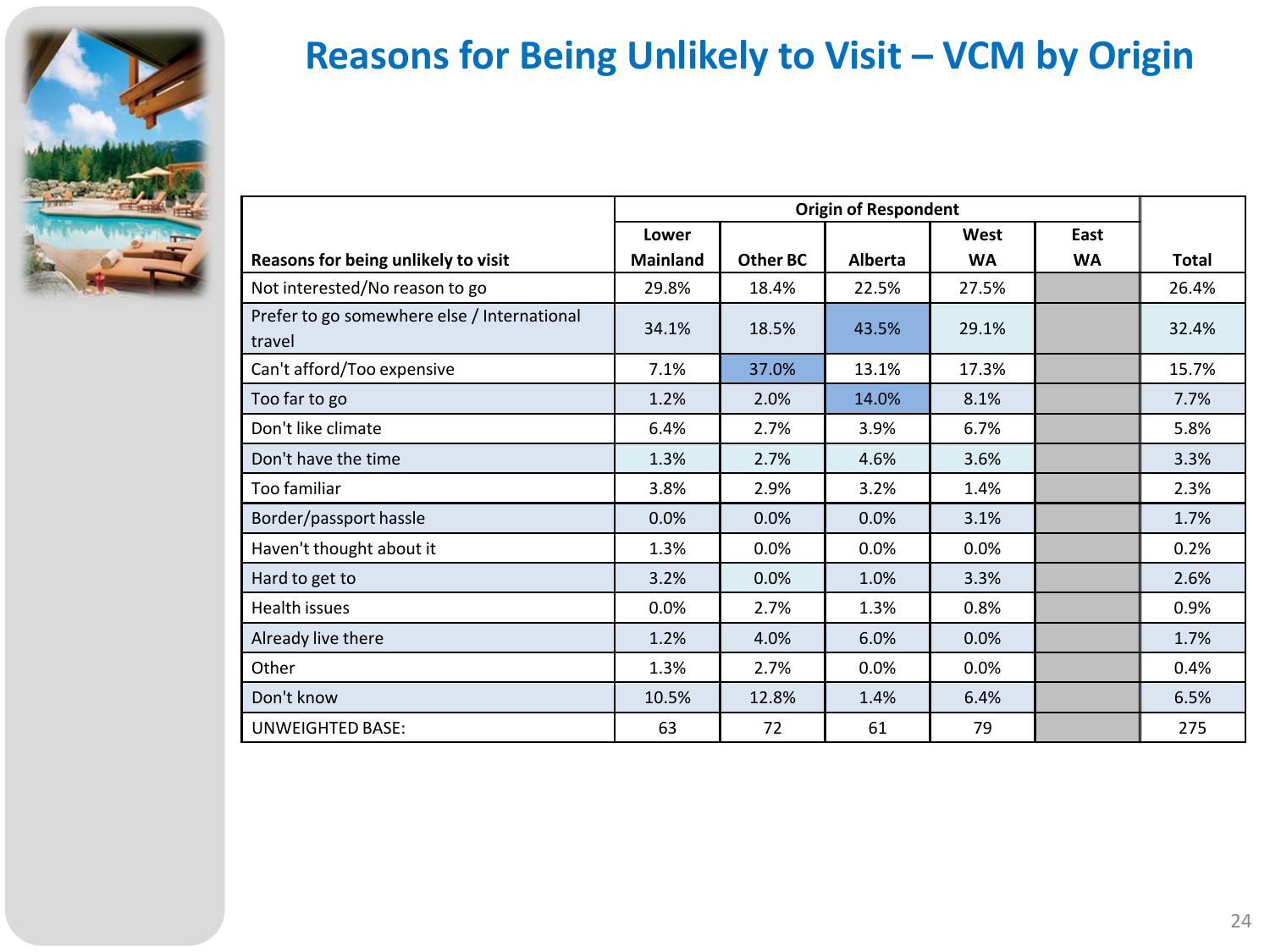

### **Reasons for Being Unlikely to Visit – VCM by Origin**

|                                                       | Lower           |          |                | West      | East      |              |
|-------------------------------------------------------|-----------------|----------|----------------|-----------|-----------|--------------|
| Reasons for being unlikely to visit                   | <b>Mainland</b> | Other BC | <b>Alberta</b> | <b>WA</b> | <b>WA</b> | <b>Total</b> |
| Not interested/No reason to go                        | 29.8%           | 18.4%    | 22.5%          | 27.5%     |           | 26.4%        |
| Prefer to go somewhere else / International<br>travel | 34.1%           | 18.5%    | 43.5%          | 29.1%     |           | 32.4%        |
| Can't afford/Too expensive                            | 7.1%            | 37.0%    | 13.1%          | 17.3%     |           | 15.7%        |
| Too far to go                                         | 1.2%            | 2.0%     | 14.0%          | 8.1%      |           | 7.7%         |
| Don't like climate                                    | 6.4%            | 2.7%     | 3.9%           | 6.7%      |           | 5.8%         |
| Don't have the time                                   | 1.3%            | 2.7%     | 4.6%           | 3.6%      |           | 3.3%         |
| Too familiar                                          | 3.8%            | 2.9%     | 3.2%           | 1.4%      |           | 2.3%         |
| Border/passport hassle                                | 0.0%            | 0.0%     | 0.0%           | 3.1%      |           | 1.7%         |
| Haven't thought about it                              | 1.3%            | 0.0%     | 0.0%           | 0.0%      |           | 0.2%         |
| Hard to get to                                        | 3.2%            | 0.0%     | 1.0%           | 3.3%      |           | 2.6%         |
| <b>Health issues</b>                                  | 0.0%            | 2.7%     | 1.3%           | 0.8%      |           | 0.9%         |
| Already live there                                    | 1.2%            | 4.0%     | 6.0%           | 0.0%      |           | 1.7%         |
| Other                                                 | 1.3%            | 2.7%     | 0.0%           | 0.0%      |           | 0.4%         |
| Don't know                                            | 10.5%           | 12.8%    | 1.4%           | 6.4%      |           | 6.5%         |
| <b>UNWEIGHTED BASE:</b>                               | 63              | 72       | 61             | 79        |           | 275          |